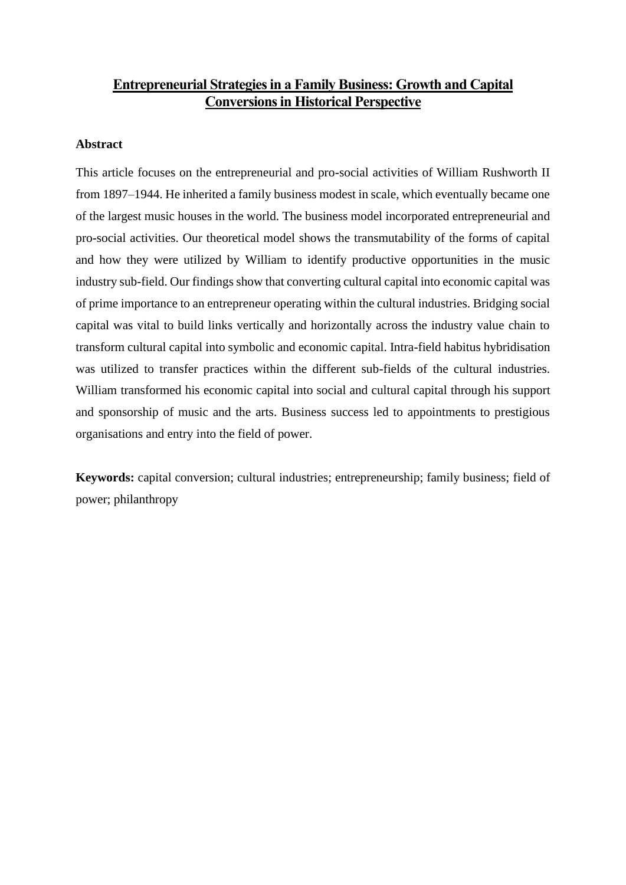# **Entrepreneurial Strategies in a Family Business: Growth and Capital Conversions in Historical Perspective**

# **Abstract**

This article focuses on the entrepreneurial and pro-social activities of William Rushworth II from 1897–1944. He inherited a family business modest in scale, which eventually became one of the largest music houses in the world. The business model incorporated entrepreneurial and pro-social activities. Our theoretical model shows the transmutability of the forms of capital and how they were utilized by William to identify productive opportunities in the music industry sub-field. Our findings show that converting cultural capital into economic capital was of prime importance to an entrepreneur operating within the cultural industries. Bridging social capital was vital to build links vertically and horizontally across the industry value chain to transform cultural capital into symbolic and economic capital. Intra-field habitus hybridisation was utilized to transfer practices within the different sub-fields of the cultural industries. William transformed his economic capital into social and cultural capital through his support and sponsorship of music and the arts. Business success led to appointments to prestigious organisations and entry into the field of power.

**Keywords:** capital conversion; cultural industries; entrepreneurship; family business; field of power; philanthropy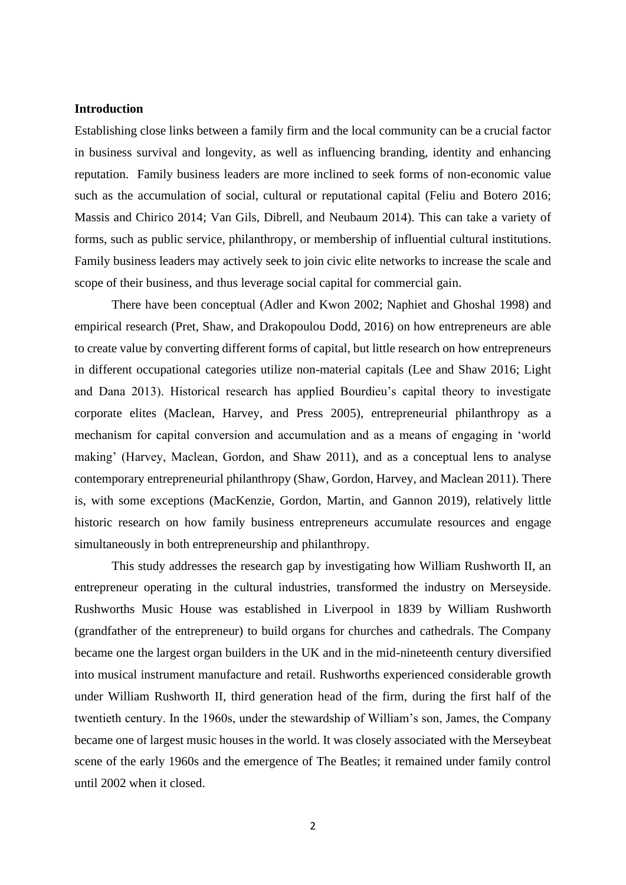### **Introduction**

Establishing close links between a family firm and the local community can be a crucial factor in business survival and longevity, as well as influencing branding, identity and enhancing reputation. Family business leaders are more inclined to seek forms of non-economic value such as the accumulation of social, cultural or reputational capital (Feliu and Botero 2016; Massis and Chirico 2014; Van Gils, Dibrell, and Neubaum 2014). This can take a variety of forms, such as public service, philanthropy, or membership of influential cultural institutions. Family business leaders may actively seek to join civic elite networks to increase the scale and scope of their business, and thus leverage social capital for commercial gain.

There have been conceptual (Adler and Kwon 2002; Naphiet and Ghoshal 1998) and empirical research (Pret, Shaw, and Drakopoulou Dodd, 2016) on how entrepreneurs are able to create value by converting different forms of capital, but little research on how entrepreneurs in different occupational categories utilize non-material capitals (Lee and Shaw 2016; Light and Dana 2013). Historical research has applied Bourdieu's capital theory to investigate corporate elites (Maclean, Harvey, and Press 2005), entrepreneurial philanthropy as a mechanism for capital conversion and accumulation and as a means of engaging in 'world making' (Harvey, Maclean, Gordon, and Shaw 2011), and as a conceptual lens to analyse contemporary entrepreneurial philanthropy (Shaw, Gordon, Harvey, and Maclean 2011). There is, with some exceptions (MacKenzie, Gordon, Martin, and Gannon 2019), relatively little historic research on how family business entrepreneurs accumulate resources and engage simultaneously in both entrepreneurship and philanthropy.

This study addresses the research gap by investigating how William Rushworth II, an entrepreneur operating in the cultural industries, transformed the industry on Merseyside. Rushworths Music House was established in Liverpool in 1839 by William Rushworth (grandfather of the entrepreneur) to build organs for churches and cathedrals. The Company became one the largest organ builders in the UK and in the mid-nineteenth century diversified into musical instrument manufacture and retail. Rushworths experienced considerable growth under William Rushworth II, third generation head of the firm, during the first half of the twentieth century. In the 1960s, under the stewardship of William's son, James, the Company became one of largest music houses in the world. It was closely associated with the Merseybeat scene of the early 1960s and the emergence of The Beatles; it remained under family control until 2002 when it closed.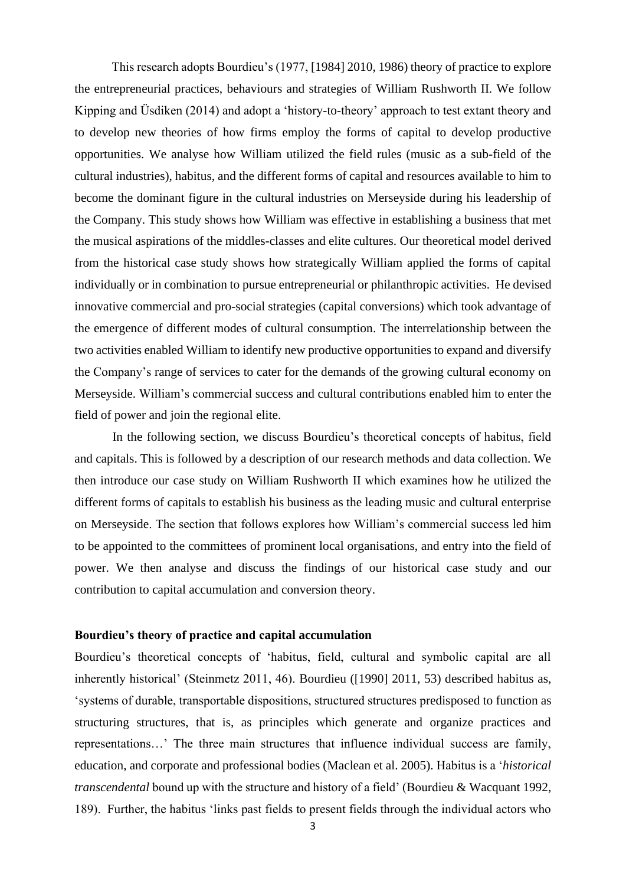This research adopts Bourdieu's (1977, [1984] 2010, 1986) theory of practice to explore the entrepreneurial practices, behaviours and strategies of William Rushworth II. We follow Kipping and Üsdiken (2014) and adopt a 'history-to-theory' approach to test extant theory and to develop new theories of how firms employ the forms of capital to develop productive opportunities. We analyse how William utilized the field rules (music as a sub-field of the cultural industries), habitus, and the different forms of capital and resources available to him to become the dominant figure in the cultural industries on Merseyside during his leadership of the Company. This study shows how William was effective in establishing a business that met the musical aspirations of the middles-classes and elite cultures. Our theoretical model derived from the historical case study shows how strategically William applied the forms of capital individually or in combination to pursue entrepreneurial or philanthropic activities. He devised innovative commercial and pro-social strategies (capital conversions) which took advantage of the emergence of different modes of cultural consumption. The interrelationship between the two activities enabled William to identify new productive opportunities to expand and diversify the Company's range of services to cater for the demands of the growing cultural economy on Merseyside. William's commercial success and cultural contributions enabled him to enter the field of power and join the regional elite.

In the following section, we discuss Bourdieu's theoretical concepts of habitus, field and capitals. This is followed by a description of our research methods and data collection. We then introduce our case study on William Rushworth II which examines how he utilized the different forms of capitals to establish his business as the leading music and cultural enterprise on Merseyside. The section that follows explores how William's commercial success led him to be appointed to the committees of prominent local organisations, and entry into the field of power. We then analyse and discuss the findings of our historical case study and our contribution to capital accumulation and conversion theory.

### **Bourdieu's theory of practice and capital accumulation**

Bourdieu's theoretical concepts of 'habitus, field, cultural and symbolic capital are all inherently historical' (Steinmetz 2011, 46). Bourdieu ([1990] 2011, 53) described habitus as, 'systems of durable, transportable dispositions, structured structures predisposed to function as structuring structures, that is, as principles which generate and organize practices and representations…' The three main structures that influence individual success are family, education, and corporate and professional bodies (Maclean et al. 2005). Habitus is a '*historical transcendental* bound up with the structure and history of a field' (Bourdieu & Wacquant 1992, 189). Further, the habitus 'links past fields to present fields through the individual actors who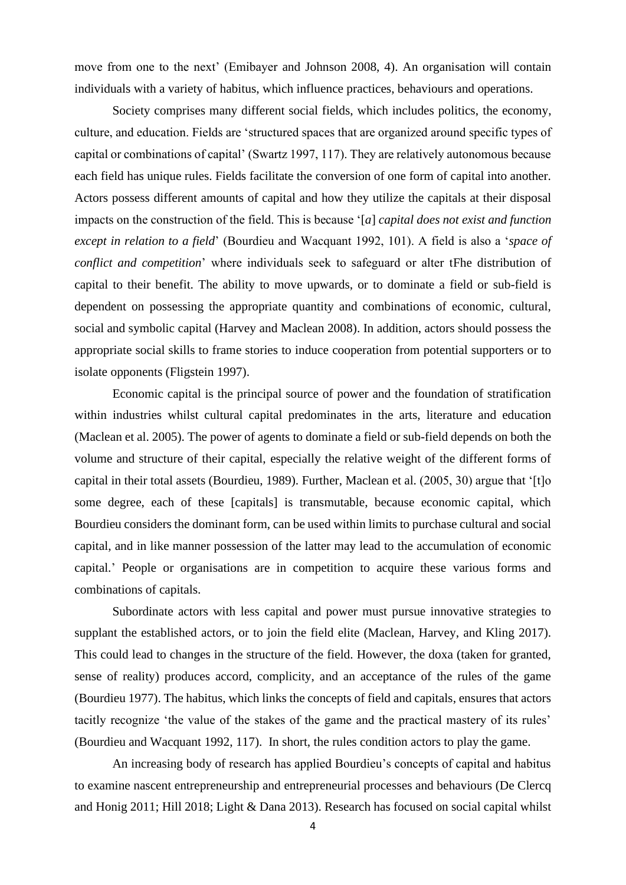move from one to the next' (Emibayer and Johnson 2008, 4). An organisation will contain individuals with a variety of habitus, which influence practices, behaviours and operations.

Society comprises many different social fields, which includes politics, the economy, culture, and education. Fields are 'structured spaces that are organized around specific types of capital or combinations of capital' (Swartz 1997, 117). They are relatively autonomous because each field has unique rules. Fields facilitate the conversion of one form of capital into another. Actors possess different amounts of capital and how they utilize the capitals at their disposal impacts on the construction of the field. This is because '[*a*] *capital does not exist and function except in relation to a field*' (Bourdieu and Wacquant 1992, 101). A field is also a '*space of conflict and competition*' where individuals seek to safeguard or alter tFhe distribution of capital to their benefit. The ability to move upwards, or to dominate a field or sub-field is dependent on possessing the appropriate quantity and combinations of economic, cultural, social and symbolic capital (Harvey and Maclean 2008). In addition, actors should possess the appropriate social skills to frame stories to induce cooperation from potential supporters or to isolate opponents (Fligstein 1997).

Economic capital is the principal source of power and the foundation of stratification within industries whilst cultural capital predominates in the arts, literature and education (Maclean et al. 2005). The power of agents to dominate a field or sub-field depends on both the volume and structure of their capital, especially the relative weight of the different forms of capital in their total assets (Bourdieu, 1989). Further, Maclean et al. (2005, 30) argue that '[t]o some degree, each of these [capitals] is transmutable, because economic capital, which Bourdieu considers the dominant form, can be used within limits to purchase cultural and social capital, and in like manner possession of the latter may lead to the accumulation of economic capital.' People or organisations are in competition to acquire these various forms and combinations of capitals.

Subordinate actors with less capital and power must pursue innovative strategies to supplant the established actors, or to join the field elite (Maclean, Harvey, and Kling 2017). This could lead to changes in the structure of the field. However, the doxa (taken for granted, sense of reality) produces accord, complicity, and an acceptance of the rules of the game (Bourdieu 1977). The habitus, which links the concepts of field and capitals, ensures that actors tacitly recognize 'the value of the stakes of the game and the practical mastery of its rules' (Bourdieu and Wacquant 1992, 117). In short, the rules condition actors to play the game.

An increasing body of research has applied Bourdieu's concepts of capital and habitus to examine nascent entrepreneurship and entrepreneurial processes and behaviours (De Clercq and Honig 2011; Hill 2018; Light & Dana 2013). Research has focused on social capital whilst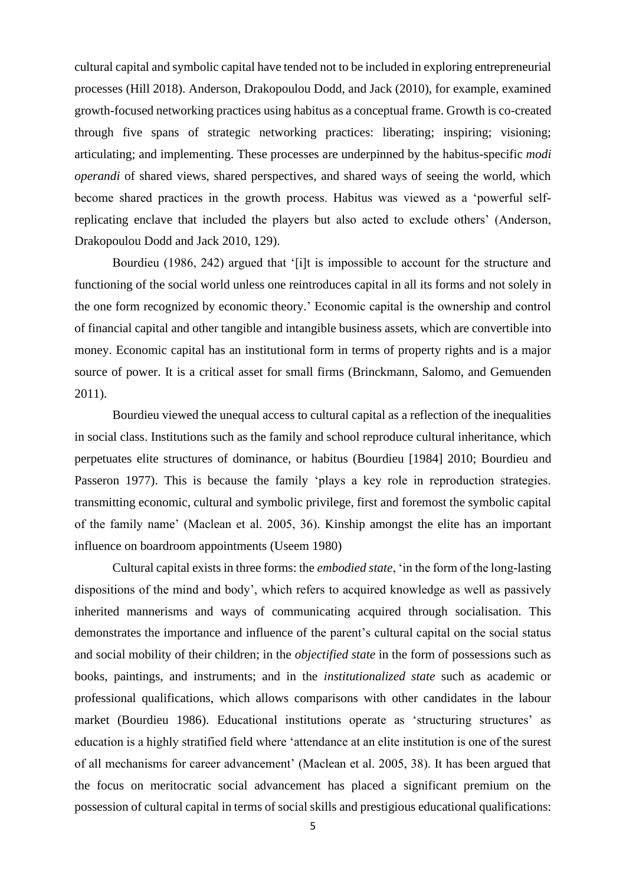cultural capital and symbolic capital have tended not to be included in exploring entrepreneurial processes (Hill 2018). Anderson, Drakopoulou Dodd, and Jack (2010), for example, examined growth-focused networking practices using habitus as a conceptual frame. Growth is co-created through five spans of strategic networking practices: liberating; inspiring; visioning; articulating; and implementing. These processes are underpinned by the habitus-specific *modi operandi* of shared views, shared perspectives, and shared ways of seeing the world, which become shared practices in the growth process. Habitus was viewed as a 'powerful selfreplicating enclave that included the players but also acted to exclude others' (Anderson, Drakopoulou Dodd and Jack 2010, 129).

Bourdieu (1986, 242) argued that '[i]t is impossible to account for the structure and functioning of the social world unless one reintroduces capital in all its forms and not solely in the one form recognized by economic theory.' Economic capital is the ownership and control of financial capital and other tangible and intangible business assets, which are convertible into money. Economic capital has an institutional form in terms of property rights and is a major source of power. It is a critical asset for small firms (Brinckmann, Salomo, and Gemuenden 2011).

Bourdieu viewed the unequal access to cultural capital as a reflection of the inequalities in social class. Institutions such as the family and school reproduce cultural inheritance, which perpetuates elite structures of dominance, or habitus (Bourdieu [1984] 2010; Bourdieu and Passeron 1977). This is because the family 'plays a key role in reproduction strategies. transmitting economic, cultural and symbolic privilege, first and foremost the symbolic capital of the family name' (Maclean et al. 2005, 36). Kinship amongst the elite has an important influence on boardroom appointments (Useem 1980)

Cultural capital exists in three forms: the *embodied state*, 'in the form of the long-lasting dispositions of the mind and body', which refers to acquired knowledge as well as passively inherited mannerisms and ways of communicating acquired through socialisation. This demonstrates the importance and influence of the parent's cultural capital on the social status and social mobility of their children; in the *objectified state* in the form of possessions such as books, paintings, and instruments; and in the *institutionalized state* such as academic or professional qualifications, which allows comparisons with other candidates in the labour market (Bourdieu 1986). Educational institutions operate as 'structuring structures' as education is a highly stratified field where 'attendance at an elite institution is one of the surest of all mechanisms for career advancement' (Maclean et al. 2005, 38). It has been argued that the focus on meritocratic social advancement has placed a significant premium on the possession of cultural capital in terms of social skills and prestigious educational qualifications: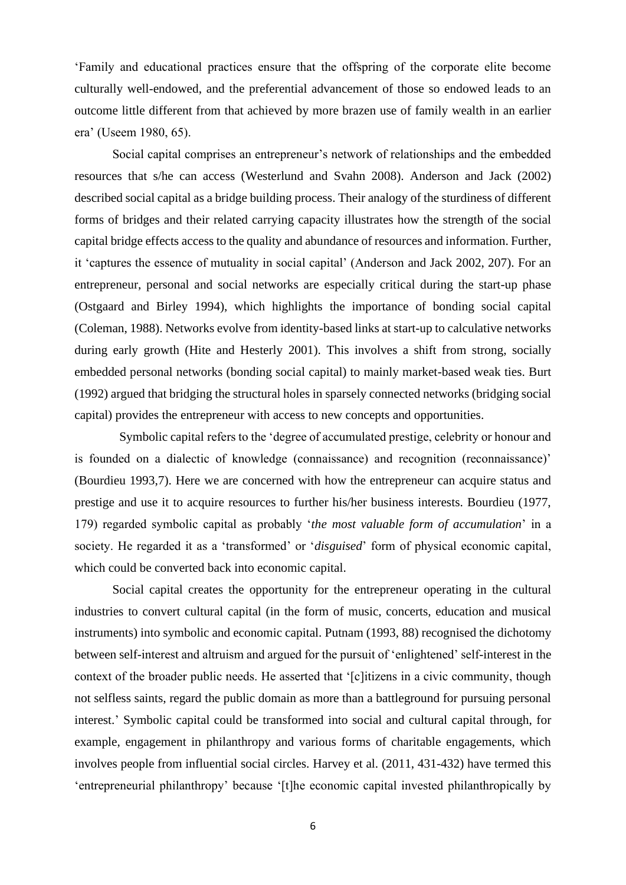'Family and educational practices ensure that the offspring of the corporate elite become culturally well-endowed, and the preferential advancement of those so endowed leads to an outcome little different from that achieved by more brazen use of family wealth in an earlier era' (Useem 1980, 65).

Social capital comprises an entrepreneur's network of relationships and the embedded resources that s/he can access (Westerlund and Svahn 2008). Anderson and Jack (2002) described social capital as a bridge building process. Their analogy of the sturdiness of different forms of bridges and their related carrying capacity illustrates how the strength of the social capital bridge effects access to the quality and abundance of resources and information. Further, it 'captures the essence of mutuality in social capital' (Anderson and Jack 2002, 207). For an entrepreneur, personal and social networks are especially critical during the start-up phase (Ostgaard and Birley 1994), which highlights the importance of bonding social capital (Coleman, 1988). Networks evolve from identity-based links at start-up to calculative networks during early growth (Hite and Hesterly 2001). This involves a shift from strong, socially embedded personal networks (bonding social capital) to mainly market-based weak ties. Burt (1992) argued that bridging the structural holes in sparsely connected networks (bridging social capital) provides the entrepreneur with access to new concepts and opportunities.

Symbolic capital refers to the 'degree of accumulated prestige, celebrity or honour and is founded on a dialectic of knowledge (connaissance) and recognition (reconnaissance)' (Bourdieu 1993,7). Here we are concerned with how the entrepreneur can acquire status and prestige and use it to acquire resources to further his/her business interests. Bourdieu (1977, 179) regarded symbolic capital as probably '*the most valuable form of accumulation*' in a society. He regarded it as a 'transformed' or '*disguised*' form of physical economic capital, which could be converted back into economic capital.

Social capital creates the opportunity for the entrepreneur operating in the cultural industries to convert cultural capital (in the form of music, concerts, education and musical instruments) into symbolic and economic capital. Putnam (1993, 88) recognised the dichotomy between self-interest and altruism and argued for the pursuit of 'enlightened' self-interest in the context of the broader public needs. He asserted that '[c]itizens in a civic community, though not selfless saints, regard the public domain as more than a battleground for pursuing personal interest.' Symbolic capital could be transformed into social and cultural capital through, for example, engagement in philanthropy and various forms of charitable engagements, which involves people from influential social circles. Harvey et al. (2011, 431-432) have termed this 'entrepreneurial philanthropy' because '[t]he economic capital invested philanthropically by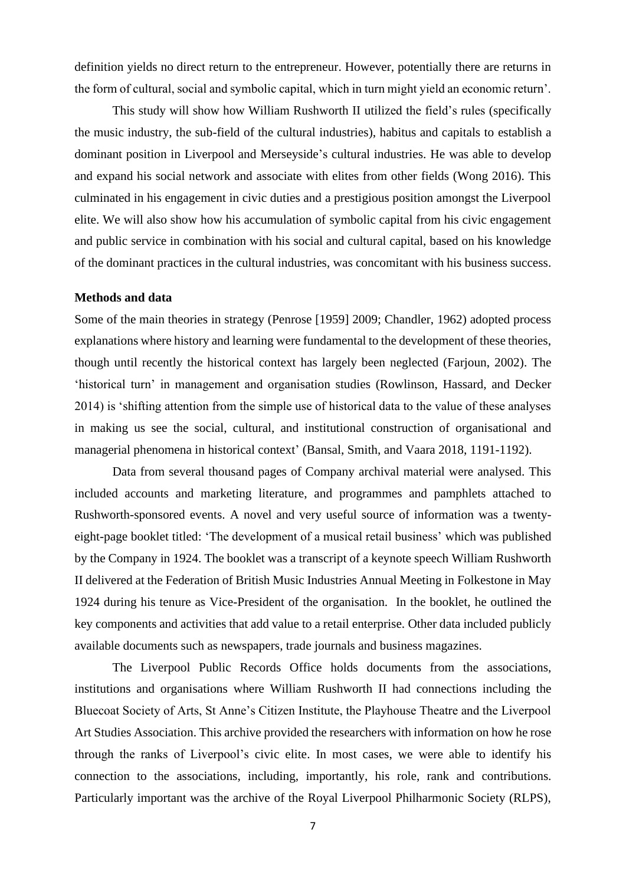definition yields no direct return to the entrepreneur. However, potentially there are returns in the form of cultural, social and symbolic capital, which in turn might yield an economic return'.

This study will show how William Rushworth II utilized the field's rules (specifically the music industry, the sub-field of the cultural industries), habitus and capitals to establish a dominant position in Liverpool and Merseyside's cultural industries. He was able to develop and expand his social network and associate with elites from other fields (Wong 2016). This culminated in his engagement in civic duties and a prestigious position amongst the Liverpool elite. We will also show how his accumulation of symbolic capital from his civic engagement and public service in combination with his social and cultural capital, based on his knowledge of the dominant practices in the cultural industries, was concomitant with his business success.

### **Methods and data**

Some of the main theories in strategy (Penrose [1959] 2009; Chandler, 1962) adopted process explanations where history and learning were fundamental to the development of these theories, though until recently the historical context has largely been neglected (Farjoun, 2002). The 'historical turn' in management and organisation studies (Rowlinson, Hassard, and Decker 2014) is 'shifting attention from the simple use of historical data to the value of these analyses in making us see the social, cultural, and institutional construction of organisational and managerial phenomena in historical context' (Bansal, Smith, and Vaara 2018, 1191-1192).

Data from several thousand pages of Company archival material were analysed. This included accounts and marketing literature, and programmes and pamphlets attached to Rushworth-sponsored events. A novel and very useful source of information was a twentyeight-page booklet titled: 'The development of a musical retail business' which was published by the Company in 1924. The booklet was a transcript of a keynote speech William Rushworth II delivered at the Federation of British Music Industries Annual Meeting in Folkestone in May 1924 during his tenure as Vice-President of the organisation. In the booklet, he outlined the key components and activities that add value to a retail enterprise. Other data included publicly available documents such as newspapers, trade journals and business magazines.

The Liverpool Public Records Office holds documents from the associations, institutions and organisations where William Rushworth II had connections including the Bluecoat Society of Arts, St Anne's Citizen Institute, the Playhouse Theatre and the Liverpool Art Studies Association. This archive provided the researchers with information on how he rose through the ranks of Liverpool's civic elite. In most cases, we were able to identify his connection to the associations, including, importantly, his role, rank and contributions. Particularly important was the archive of the Royal Liverpool Philharmonic Society (RLPS),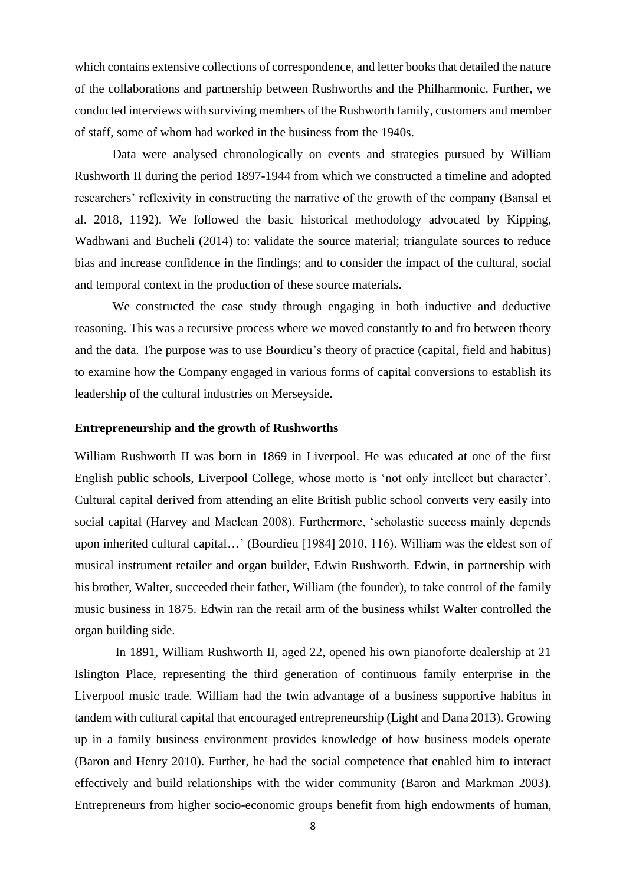which contains extensive collections of correspondence, and letter books that detailed the nature of the collaborations and partnership between Rushworths and the Philharmonic. Further, we conducted interviews with surviving members of the Rushworth family, customers and member of staff, some of whom had worked in the business from the 1940s.

Data were analysed chronologically on events and strategies pursued by William Rushworth II during the period 1897-1944 from which we constructed a timeline and adopted researchers' reflexivity in constructing the narrative of the growth of the company (Bansal et al. 2018, 1192). We followed the basic historical methodology advocated by Kipping, Wadhwani and Bucheli (2014) to: validate the source material; triangulate sources to reduce bias and increase confidence in the findings; and to consider the impact of the cultural, social and temporal context in the production of these source materials.

We constructed the case study through engaging in both inductive and deductive reasoning. This was a recursive process where we moved constantly to and fro between theory and the data. The purpose was to use Bourdieu's theory of practice (capital, field and habitus) to examine how the Company engaged in various forms of capital conversions to establish its leadership of the cultural industries on Merseyside.

### **Entrepreneurship and the growth of Rushworths**

William Rushworth II was born in 1869 in Liverpool. He was educated at one of the first English public schools, Liverpool College, whose motto is 'not only intellect but character'. Cultural capital derived from attending an elite British public school converts very easily into social capital (Harvey and Maclean 2008). Furthermore, 'scholastic success mainly depends upon inherited cultural capital…' (Bourdieu [1984] 2010, 116). William was the eldest son of musical instrument retailer and organ builder, Edwin Rushworth. Edwin, in partnership with his brother, Walter, succeeded their father, William (the founder), to take control of the family music business in 1875. Edwin ran the retail arm of the business whilst Walter controlled the organ building side.

In 1891, William Rushworth II, aged 22, opened his own pianoforte dealership at 21 Islington Place, representing the third generation of continuous family enterprise in the Liverpool music trade. William had the twin advantage of a business supportive habitus in tandem with cultural capital that encouraged entrepreneurship (Light and Dana 2013). Growing up in a family business environment provides knowledge of how business models operate (Baron and Henry 2010). Further, he had the social competence that enabled him to interact effectively and build relationships with the wider community (Baron and Markman 2003). Entrepreneurs from higher socio-economic groups benefit from high endowments of human,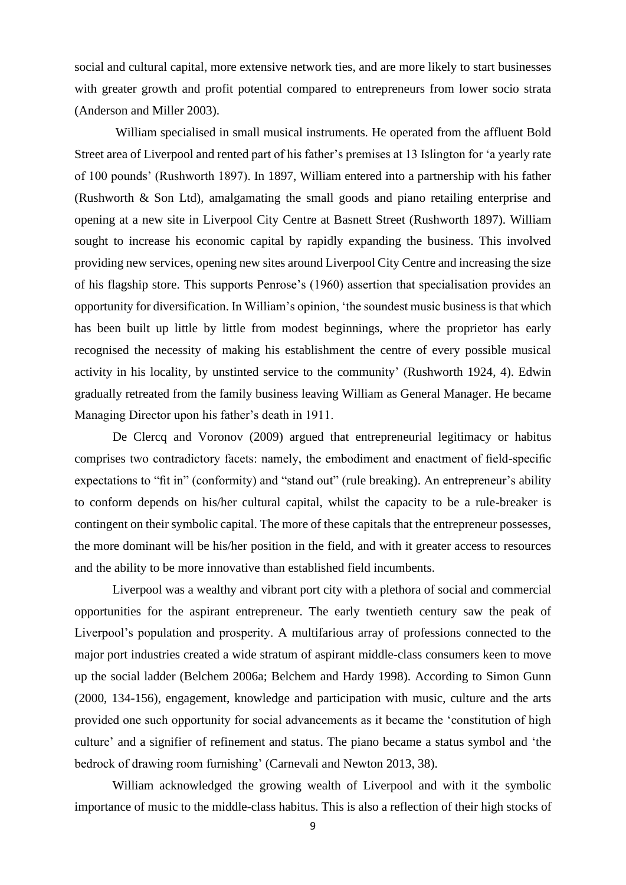social and cultural capital, more extensive network ties, and are more likely to start businesses with greater growth and profit potential compared to entrepreneurs from lower socio strata (Anderson and Miller 2003).

William specialised in small musical instruments. He operated from the affluent Bold Street area of Liverpool and rented part of his father's premises at 13 Islington for 'a yearly rate of 100 pounds' (Rushworth 1897). In 1897, William entered into a partnership with his father (Rushworth & Son Ltd), amalgamating the small goods and piano retailing enterprise and opening at a new site in Liverpool City Centre at Basnett Street (Rushworth 1897). William sought to increase his economic capital by rapidly expanding the business. This involved providing new services, opening new sites around Liverpool City Centre and increasing the size of his flagship store. This supports Penrose's (1960) assertion that specialisation provides an opportunity for diversification. In William's opinion, 'the soundest music business is that which has been built up little by little from modest beginnings, where the proprietor has early recognised the necessity of making his establishment the centre of every possible musical activity in his locality, by unstinted service to the community' (Rushworth 1924, 4). Edwin gradually retreated from the family business leaving William as General Manager. He became Managing Director upon his father's death in 1911.

De Clercq and Voronov (2009) argued that entrepreneurial legitimacy or habitus comprises two contradictory facets: namely, the embodiment and enactment of field-specific expectations to "fit in" (conformity) and "stand out" (rule breaking). An entrepreneur's ability to conform depends on his/her cultural capital, whilst the capacity to be a rule-breaker is contingent on their symbolic capital. The more of these capitals that the entrepreneur possesses, the more dominant will be his/her position in the field, and with it greater access to resources and the ability to be more innovative than established field incumbents.

Liverpool was a wealthy and vibrant port city with a plethora of social and commercial opportunities for the aspirant entrepreneur. The early twentieth century saw the peak of Liverpool's population and prosperity. A multifarious array of professions connected to the major port industries created a wide stratum of aspirant middle-class consumers keen to move up the social ladder (Belchem 2006a; Belchem and Hardy 1998). According to Simon Gunn (2000, 134-156), engagement, knowledge and participation with music, culture and the arts provided one such opportunity for social advancements as it became the 'constitution of high culture' and a signifier of refinement and status. The piano became a status symbol and 'the bedrock of drawing room furnishing' (Carnevali and Newton 2013, 38).

William acknowledged the growing wealth of Liverpool and with it the symbolic importance of music to the middle-class habitus. This is also a reflection of their high stocks of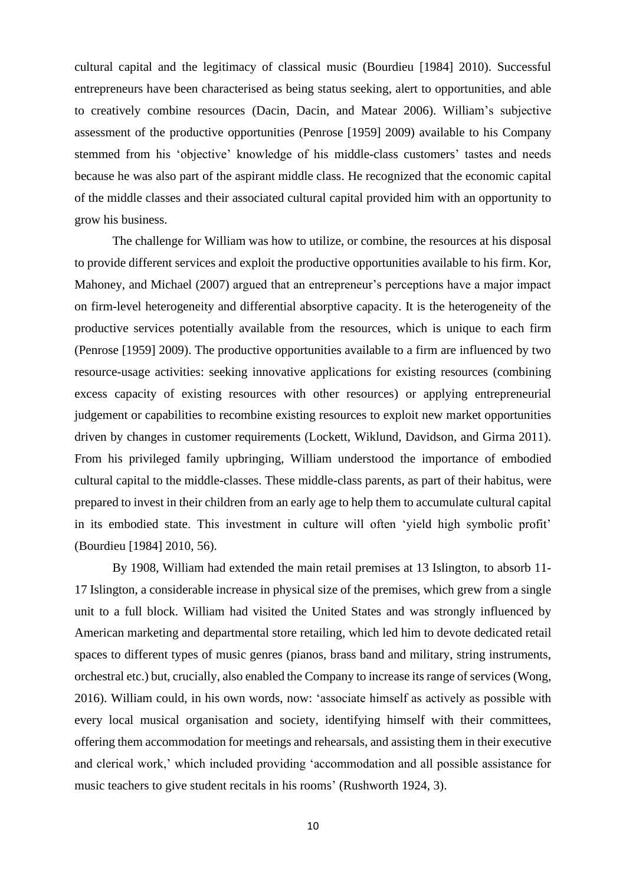cultural capital and the legitimacy of classical music (Bourdieu [1984] 2010). Successful entrepreneurs have been characterised as being status seeking, alert to opportunities, and able to creatively combine resources (Dacin, Dacin, and Matear 2006). William's subjective assessment of the productive opportunities (Penrose [1959] 2009) available to his Company stemmed from his 'objective' knowledge of his middle-class customers' tastes and needs because he was also part of the aspirant middle class. He recognized that the economic capital of the middle classes and their associated cultural capital provided him with an opportunity to grow his business.

The challenge for William was how to utilize, or combine, the resources at his disposal to provide different services and exploit the productive opportunities available to his firm. Kor, Mahoney, and Michael (2007) argued that an entrepreneur's perceptions have a major impact on firm-level heterogeneity and differential absorptive capacity. It is the heterogeneity of the productive services potentially available from the resources, which is unique to each firm (Penrose [1959] 2009). The productive opportunities available to a firm are influenced by two resource-usage activities: seeking innovative applications for existing resources (combining excess capacity of existing resources with other resources) or applying entrepreneurial judgement or capabilities to recombine existing resources to exploit new market opportunities driven by changes in customer requirements (Lockett, Wiklund, Davidson, and Girma 2011). From his privileged family upbringing, William understood the importance of embodied cultural capital to the middle-classes. These middle-class parents, as part of their habitus, were prepared to invest in their children from an early age to help them to accumulate cultural capital in its embodied state. This investment in culture will often 'yield high symbolic profit' (Bourdieu [1984] 2010, 56).

By 1908, William had extended the main retail premises at 13 Islington, to absorb 11- 17 Islington, a considerable increase in physical size of the premises, which grew from a single unit to a full block. William had visited the United States and was strongly influenced by American marketing and departmental store retailing, which led him to devote dedicated retail spaces to different types of music genres (pianos, brass band and military, string instruments, orchestral etc.) but, crucially, also enabled the Company to increase its range of services (Wong, 2016). William could, in his own words, now: 'associate himself as actively as possible with every local musical organisation and society, identifying himself with their committees, offering them accommodation for meetings and rehearsals, and assisting them in their executive and clerical work,' which included providing 'accommodation and all possible assistance for music teachers to give student recitals in his rooms' (Rushworth 1924, 3).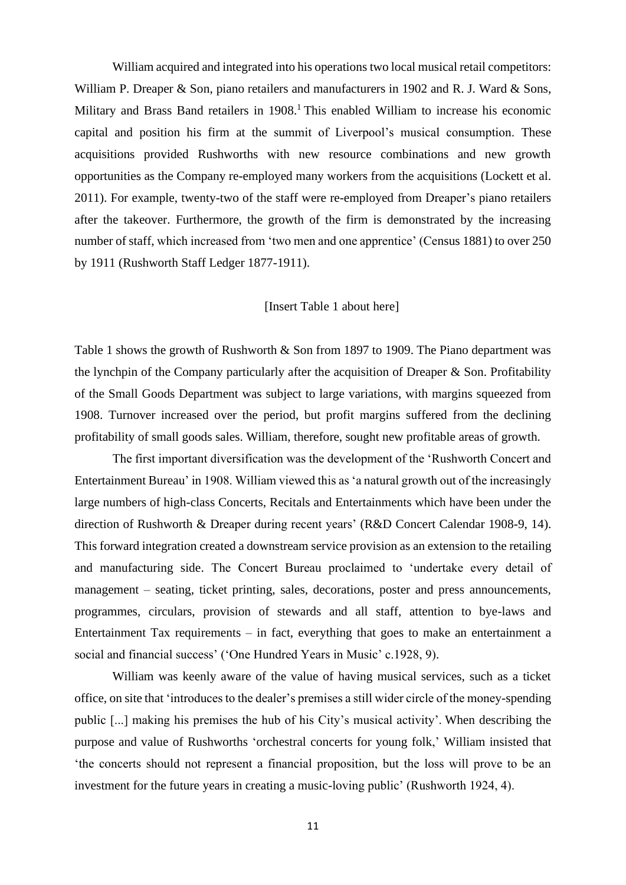William acquired and integrated into his operations two local musical retail competitors: William P. Dreaper & Son, piano retailers and manufacturers in 1902 and R. J. Ward & Sons, Military and Brass Band retailers in 1908.<sup>1</sup> This enabled William to increase his economic capital and position his firm at the summit of Liverpool's musical consumption. These acquisitions provided Rushworths with new resource combinations and new growth opportunities as the Company re-employed many workers from the acquisitions (Lockett et al. 2011). For example, twenty-two of the staff were re-employed from Dreaper's piano retailers after the takeover. Furthermore, the growth of the firm is demonstrated by the increasing number of staff, which increased from 'two men and one apprentice' (Census 1881) to over 250 by 1911 (Rushworth Staff Ledger 1877-1911).

### [Insert Table 1 about here]

Table 1 shows the growth of Rushworth & Son from 1897 to 1909. The Piano department was the lynchpin of the Company particularly after the acquisition of Dreaper  $\&$  Son. Profitability of the Small Goods Department was subject to large variations, with margins squeezed from 1908. Turnover increased over the period, but profit margins suffered from the declining profitability of small goods sales. William, therefore, sought new profitable areas of growth.

The first important diversification was the development of the 'Rushworth Concert and Entertainment Bureau' in 1908. William viewed this as 'a natural growth out of the increasingly large numbers of high-class Concerts, Recitals and Entertainments which have been under the direction of Rushworth & Dreaper during recent years' (R&D Concert Calendar 1908-9, 14). This forward integration created a downstream service provision as an extension to the retailing and manufacturing side. The Concert Bureau proclaimed to 'undertake every detail of management – seating, ticket printing, sales, decorations, poster and press announcements, programmes, circulars, provision of stewards and all staff, attention to bye-laws and Entertainment Tax requirements – in fact, everything that goes to make an entertainment a social and financial success' ('One Hundred Years in Music' c.1928, 9).

William was keenly aware of the value of having musical services, such as a ticket office, on site that 'introduces to the dealer's premises a still wider circle of the money-spending public [...] making his premises the hub of his City's musical activity'. When describing the purpose and value of Rushworths 'orchestral concerts for young folk,' William insisted that 'the concerts should not represent a financial proposition, but the loss will prove to be an investment for the future years in creating a music-loving public' (Rushworth 1924, 4).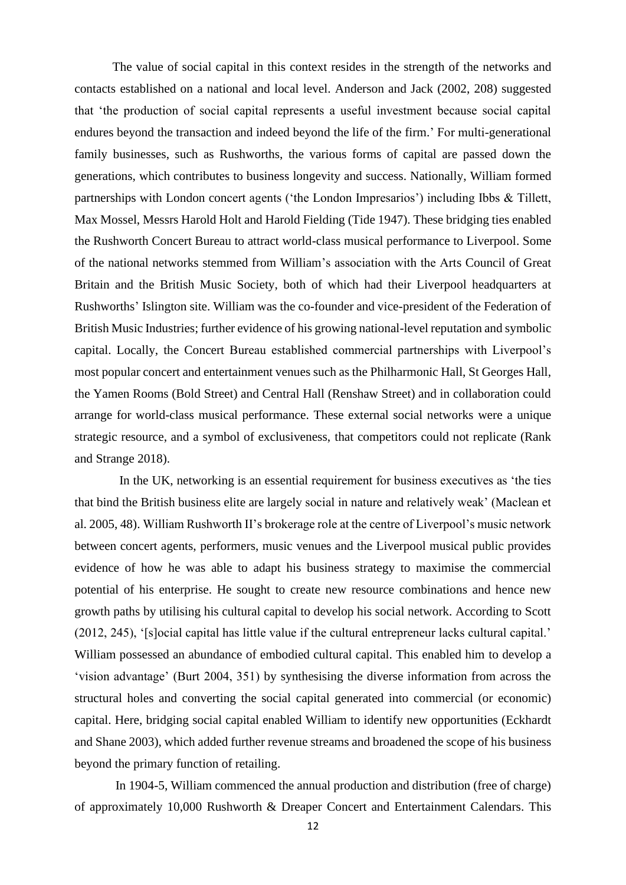The value of social capital in this context resides in the strength of the networks and contacts established on a national and local level. Anderson and Jack (2002, 208) suggested that 'the production of social capital represents a useful investment because social capital endures beyond the transaction and indeed beyond the life of the firm.' For multi-generational family businesses, such as Rushworths, the various forms of capital are passed down the generations, which contributes to business longevity and success. Nationally, William formed partnerships with London concert agents ('the London Impresarios') including Ibbs & Tillett, Max Mossel, Messrs Harold Holt and Harold Fielding (Tide 1947). These bridging ties enabled the Rushworth Concert Bureau to attract world-class musical performance to Liverpool. Some of the national networks stemmed from William's association with the Arts Council of Great Britain and the British Music Society, both of which had their Liverpool headquarters at Rushworths' Islington site. William was the co-founder and vice-president of the Federation of British Music Industries; further evidence of his growing national-level reputation and symbolic capital. Locally, the Concert Bureau established commercial partnerships with Liverpool's most popular concert and entertainment venues such as the Philharmonic Hall, St Georges Hall, the Yamen Rooms (Bold Street) and Central Hall (Renshaw Street) and in collaboration could arrange for world-class musical performance. These external social networks were a unique strategic resource, and a symbol of exclusiveness, that competitors could not replicate (Rank and Strange 2018).

In the UK, networking is an essential requirement for business executives as 'the ties that bind the British business elite are largely social in nature and relatively weak' (Maclean et al. 2005, 48). William Rushworth II's brokerage role at the centre of Liverpool's music network between concert agents, performers, music venues and the Liverpool musical public provides evidence of how he was able to adapt his business strategy to maximise the commercial potential of his enterprise. He sought to create new resource combinations and hence new growth paths by utilising his cultural capital to develop his social network. According to Scott (2012, 245), '[s]ocial capital has little value if the cultural entrepreneur lacks cultural capital.' William possessed an abundance of embodied cultural capital. This enabled him to develop a 'vision advantage' (Burt 2004, 351) by synthesising the diverse information from across the structural holes and converting the social capital generated into commercial (or economic) capital. Here, bridging social capital enabled William to identify new opportunities (Eckhardt and Shane 2003), which added further revenue streams and broadened the scope of his business beyond the primary function of retailing.

In 1904-5, William commenced the annual production and distribution (free of charge) of approximately 10,000 Rushworth & Dreaper Concert and Entertainment Calendars. This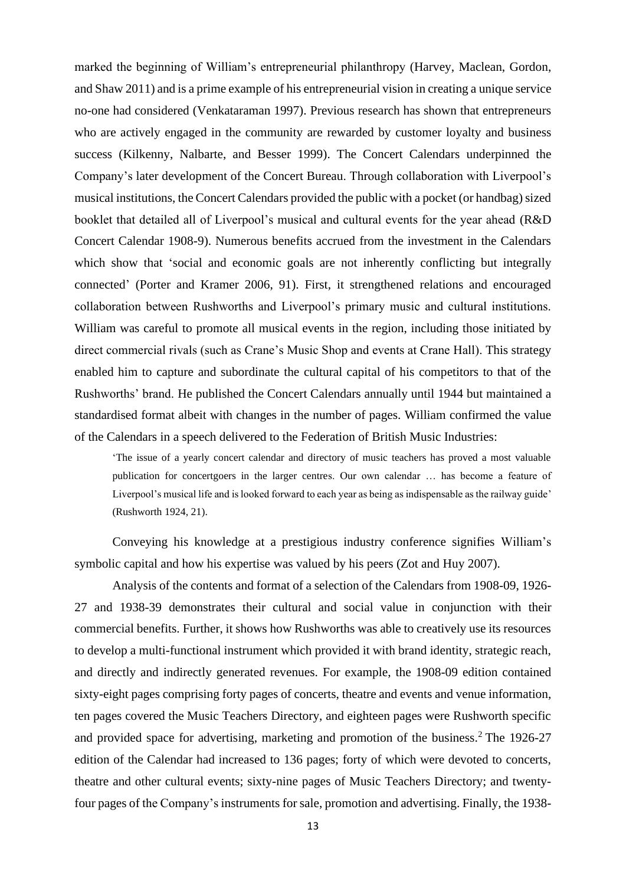marked the beginning of William's entrepreneurial philanthropy (Harvey, Maclean, Gordon, and Shaw 2011) and is a prime example of his entrepreneurial vision in creating a unique service no-one had considered (Venkataraman 1997). Previous research has shown that entrepreneurs who are actively engaged in the community are rewarded by customer loyalty and business success (Kilkenny, Nalbarte, and Besser 1999). The Concert Calendars underpinned the Company's later development of the Concert Bureau. Through collaboration with Liverpool's musical institutions, the Concert Calendars provided the public with a pocket (or handbag) sized booklet that detailed all of Liverpool's musical and cultural events for the year ahead (R&D Concert Calendar 1908-9). Numerous benefits accrued from the investment in the Calendars which show that 'social and economic goals are not inherently conflicting but integrally connected' (Porter and Kramer 2006, 91). First, it strengthened relations and encouraged collaboration between Rushworths and Liverpool's primary music and cultural institutions. William was careful to promote all musical events in the region, including those initiated by direct commercial rivals (such as Crane's Music Shop and events at Crane Hall). This strategy enabled him to capture and subordinate the cultural capital of his competitors to that of the Rushworths' brand. He published the Concert Calendars annually until 1944 but maintained a standardised format albeit with changes in the number of pages. William confirmed the value of the Calendars in a speech delivered to the Federation of British Music Industries:

'The issue of a yearly concert calendar and directory of music teachers has proved a most valuable publication for concertgoers in the larger centres. Our own calendar … has become a feature of Liverpool's musical life and is looked forward to each year as being as indispensable as the railway guide' (Rushworth 1924, 21).

Conveying his knowledge at a prestigious industry conference signifies William's symbolic capital and how his expertise was valued by his peers (Zot and Huy 2007).

Analysis of the contents and format of a selection of the Calendars from 1908-09, 1926- 27 and 1938-39 demonstrates their cultural and social value in conjunction with their commercial benefits. Further, it shows how Rushworths was able to creatively use its resources to develop a multi-functional instrument which provided it with brand identity, strategic reach, and directly and indirectly generated revenues. For example, the 1908-09 edition contained sixty-eight pages comprising forty pages of concerts, theatre and events and venue information, ten pages covered the Music Teachers Directory, and eighteen pages were Rushworth specific and provided space for advertising, marketing and promotion of the business.<sup>2</sup> The 1926-27 edition of the Calendar had increased to 136 pages; forty of which were devoted to concerts, theatre and other cultural events; sixty-nine pages of Music Teachers Directory; and twentyfour pages of the Company's instruments for sale, promotion and advertising. Finally, the 1938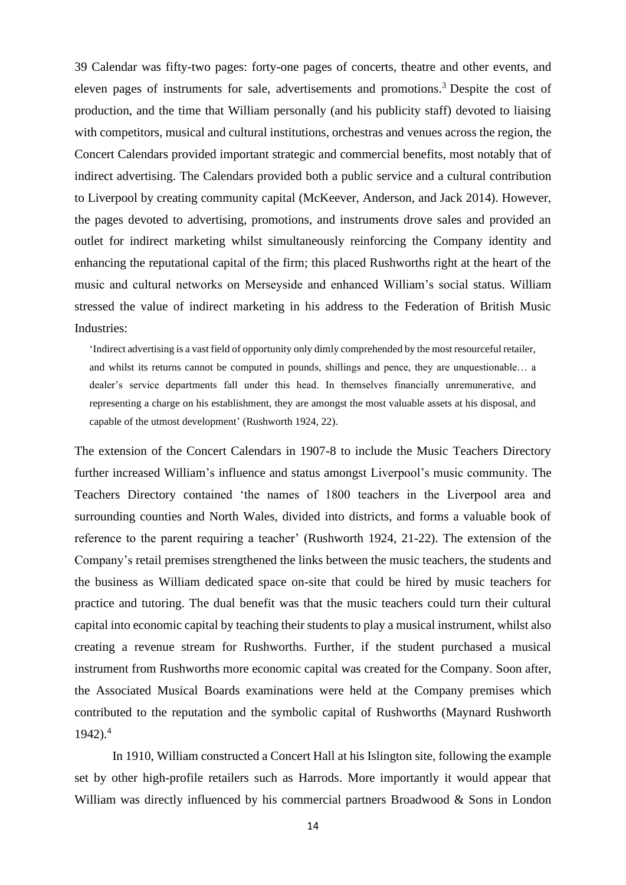39 Calendar was fifty-two pages: forty-one pages of concerts, theatre and other events, and eleven pages of instruments for sale, advertisements and promotions. <sup>3</sup> Despite the cost of production, and the time that William personally (and his publicity staff) devoted to liaising with competitors, musical and cultural institutions, orchestras and venues across the region, the Concert Calendars provided important strategic and commercial benefits, most notably that of indirect advertising. The Calendars provided both a public service and a cultural contribution to Liverpool by creating community capital (McKeever, Anderson, and Jack 2014). However, the pages devoted to advertising, promotions, and instruments drove sales and provided an outlet for indirect marketing whilst simultaneously reinforcing the Company identity and enhancing the reputational capital of the firm; this placed Rushworths right at the heart of the music and cultural networks on Merseyside and enhanced William's social status. William stressed the value of indirect marketing in his address to the Federation of British Music Industries:

'Indirect advertising is a vast field of opportunity only dimly comprehended by the most resourceful retailer, and whilst its returns cannot be computed in pounds, shillings and pence, they are unquestionable… a dealer's service departments fall under this head. In themselves financially unremunerative, and representing a charge on his establishment, they are amongst the most valuable assets at his disposal, and capable of the utmost development' (Rushworth 1924, 22).

The extension of the Concert Calendars in 1907-8 to include the Music Teachers Directory further increased William's influence and status amongst Liverpool's music community. The Teachers Directory contained 'the names of 1800 teachers in the Liverpool area and surrounding counties and North Wales, divided into districts, and forms a valuable book of reference to the parent requiring a teacher' (Rushworth 1924, 21-22). The extension of the Company's retail premises strengthened the links between the music teachers, the students and the business as William dedicated space on-site that could be hired by music teachers for practice and tutoring. The dual benefit was that the music teachers could turn their cultural capital into economic capital by teaching their students to play a musical instrument, whilst also creating a revenue stream for Rushworths. Further, if the student purchased a musical instrument from Rushworths more economic capital was created for the Company. Soon after, the Associated Musical Boards examinations were held at the Company premises which contributed to the reputation and the symbolic capital of Rushworths (Maynard Rushworth 1942). 4

In 1910, William constructed a Concert Hall at his Islington site, following the example set by other high-profile retailers such as Harrods. More importantly it would appear that William was directly influenced by his commercial partners Broadwood & Sons in London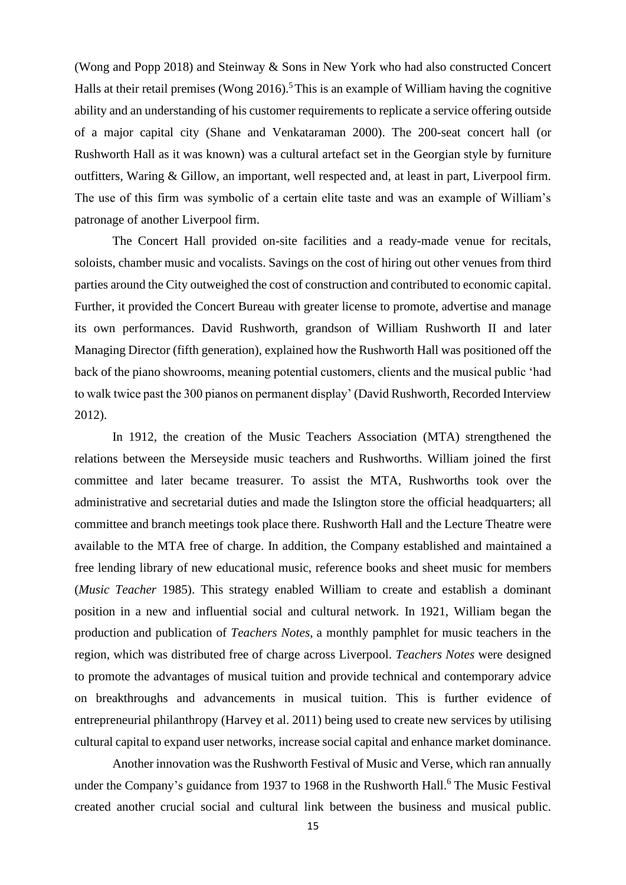(Wong and Popp 2018) and Steinway & Sons in New York who had also constructed Concert Halls at their retail premises (Wong 2016).<sup>5</sup> This is an example of William having the cognitive ability and an understanding of his customer requirements to replicate a service offering outside of a major capital city (Shane and Venkataraman 2000). The 200-seat concert hall (or Rushworth Hall as it was known) was a cultural artefact set in the Georgian style by furniture outfitters, Waring & Gillow, an important, well respected and, at least in part, Liverpool firm. The use of this firm was symbolic of a certain elite taste and was an example of William's patronage of another Liverpool firm.

The Concert Hall provided on-site facilities and a ready-made venue for recitals, soloists, chamber music and vocalists. Savings on the cost of hiring out other venues from third parties around the City outweighed the cost of construction and contributed to economic capital. Further, it provided the Concert Bureau with greater license to promote, advertise and manage its own performances. David Rushworth, grandson of William Rushworth II and later Managing Director (fifth generation), explained how the Rushworth Hall was positioned off the back of the piano showrooms, meaning potential customers, clients and the musical public 'had to walk twice past the 300 pianos on permanent display' (David Rushworth, Recorded Interview 2012).

In 1912, the creation of the Music Teachers Association (MTA) strengthened the relations between the Merseyside music teachers and Rushworths. William joined the first committee and later became treasurer. To assist the MTA, Rushworths took over the administrative and secretarial duties and made the Islington store the official headquarters; all committee and branch meetings took place there. Rushworth Hall and the Lecture Theatre were available to the MTA free of charge. In addition, the Company established and maintained a free lending library of new educational music, reference books and sheet music for members (*Music Teacher* 1985). This strategy enabled William to create and establish a dominant position in a new and influential social and cultural network. In 1921, William began the production and publication of *Teachers Notes*, a monthly pamphlet for music teachers in the region, which was distributed free of charge across Liverpool. *Teachers Notes* were designed to promote the advantages of musical tuition and provide technical and contemporary advice on breakthroughs and advancements in musical tuition. This is further evidence of entrepreneurial philanthropy (Harvey et al. 2011) being used to create new services by utilising cultural capital to expand user networks, increase social capital and enhance market dominance.

Another innovation was the Rushworth Festival of Music and Verse, which ran annually under the Company's guidance from 1937 to 1968 in the Rushworth Hall.<sup>6</sup> The Music Festival created another crucial social and cultural link between the business and musical public.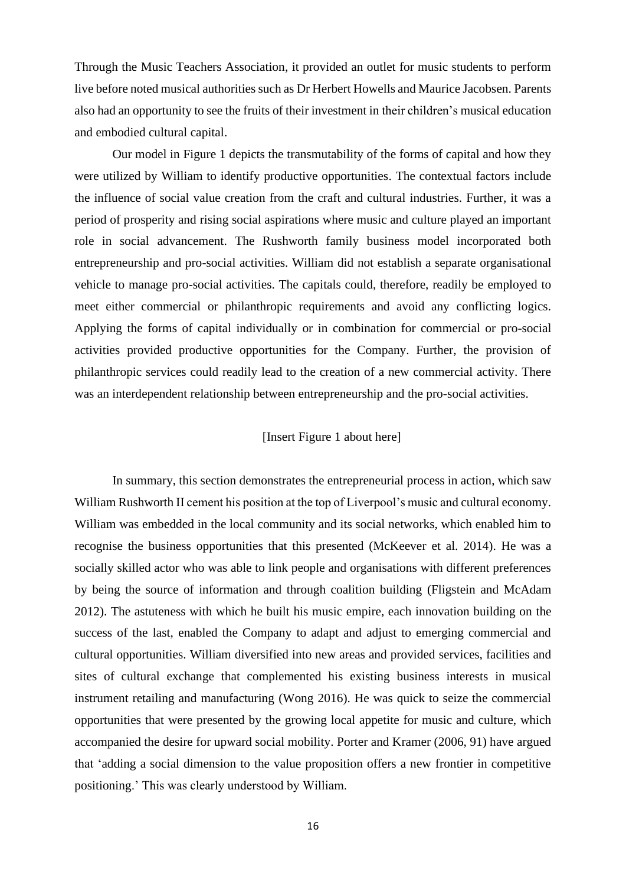Through the Music Teachers Association, it provided an outlet for music students to perform live before noted musical authorities such as Dr Herbert Howells and Maurice Jacobsen. Parents also had an opportunity to see the fruits of their investment in their children's musical education and embodied cultural capital.

Our model in Figure 1 depicts the transmutability of the forms of capital and how they were utilized by William to identify productive opportunities. The contextual factors include the influence of social value creation from the craft and cultural industries. Further, it was a period of prosperity and rising social aspirations where music and culture played an important role in social advancement. The Rushworth family business model incorporated both entrepreneurship and pro-social activities. William did not establish a separate organisational vehicle to manage pro-social activities. The capitals could, therefore, readily be employed to meet either commercial or philanthropic requirements and avoid any conflicting logics. Applying the forms of capital individually or in combination for commercial or pro-social activities provided productive opportunities for the Company. Further, the provision of philanthropic services could readily lead to the creation of a new commercial activity. There was an interdependent relationship between entrepreneurship and the pro-social activities.

# [Insert Figure 1 about here]

In summary, this section demonstrates the entrepreneurial process in action, which saw William Rushworth II cement his position at the top of Liverpool's music and cultural economy. William was embedded in the local community and its social networks, which enabled him to recognise the business opportunities that this presented (McKeever et al. 2014). He was a socially skilled actor who was able to link people and organisations with different preferences by being the source of information and through coalition building (Fligstein and McAdam 2012). The astuteness with which he built his music empire, each innovation building on the success of the last, enabled the Company to adapt and adjust to emerging commercial and cultural opportunities. William diversified into new areas and provided services, facilities and sites of cultural exchange that complemented his existing business interests in musical instrument retailing and manufacturing (Wong 2016). He was quick to seize the commercial opportunities that were presented by the growing local appetite for music and culture, which accompanied the desire for upward social mobility. Porter and Kramer (2006, 91) have argued that 'adding a social dimension to the value proposition offers a new frontier in competitive positioning.' This was clearly understood by William.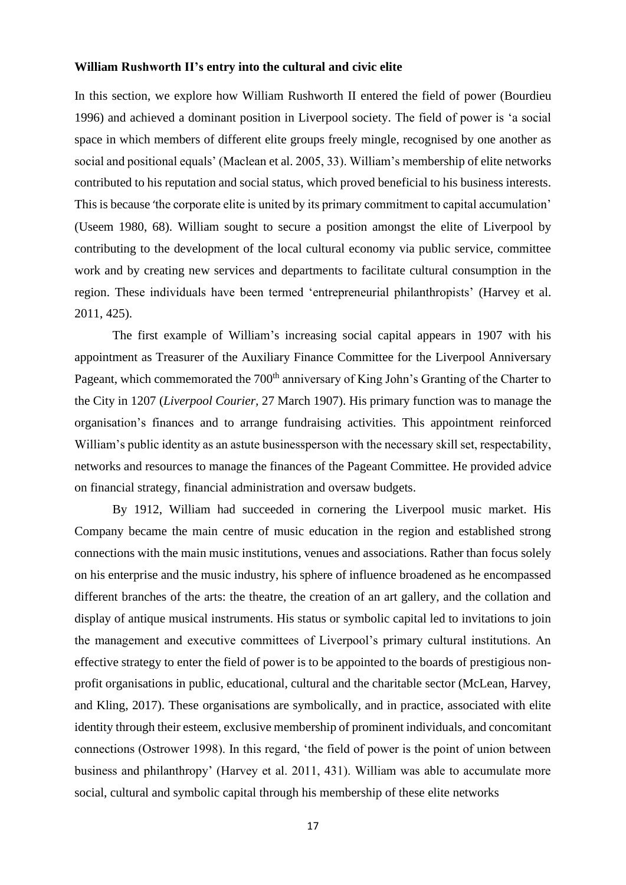### **William Rushworth II's entry into the cultural and civic elite**

In this section, we explore how William Rushworth II entered the field of power (Bourdieu 1996) and achieved a dominant position in Liverpool society. The field of power is 'a social space in which members of different elite groups freely mingle, recognised by one another as social and positional equals' (Maclean et al. 2005, 33). William's membership of elite networks contributed to his reputation and social status, which proved beneficial to his business interests. This is because 'the corporate elite is united by its primary commitment to capital accumulation' (Useem 1980, 68). William sought to secure a position amongst the elite of Liverpool by contributing to the development of the local cultural economy via public service, committee work and by creating new services and departments to facilitate cultural consumption in the region. These individuals have been termed 'entrepreneurial philanthropists' (Harvey et al. 2011, 425).

The first example of William's increasing social capital appears in 1907 with his appointment as Treasurer of the Auxiliary Finance Committee for the Liverpool Anniversary Pageant, which commemorated the 700<sup>th</sup> anniversary of King John's Granting of the Charter to the City in 1207 (*Liverpool Courier,* 27 March 1907). His primary function was to manage the organisation's finances and to arrange fundraising activities. This appointment reinforced William's public identity as an astute businessperson with the necessary skill set, respectability, networks and resources to manage the finances of the Pageant Committee. He provided advice on financial strategy, financial administration and oversaw budgets.

By 1912, William had succeeded in cornering the Liverpool music market. His Company became the main centre of music education in the region and established strong connections with the main music institutions, venues and associations. Rather than focus solely on his enterprise and the music industry, his sphere of influence broadened as he encompassed different branches of the arts: the theatre, the creation of an art gallery, and the collation and display of antique musical instruments. His status or symbolic capital led to invitations to join the management and executive committees of Liverpool's primary cultural institutions. An effective strategy to enter the field of power is to be appointed to the boards of prestigious nonprofit organisations in public, educational, cultural and the charitable sector (McLean, Harvey, and Kling, 2017). These organisations are symbolically, and in practice, associated with elite identity through their esteem, exclusive membership of prominent individuals, and concomitant connections (Ostrower 1998). In this regard, 'the field of power is the point of union between business and philanthropy' (Harvey et al. 2011, 431). William was able to accumulate more social, cultural and symbolic capital through his membership of these elite networks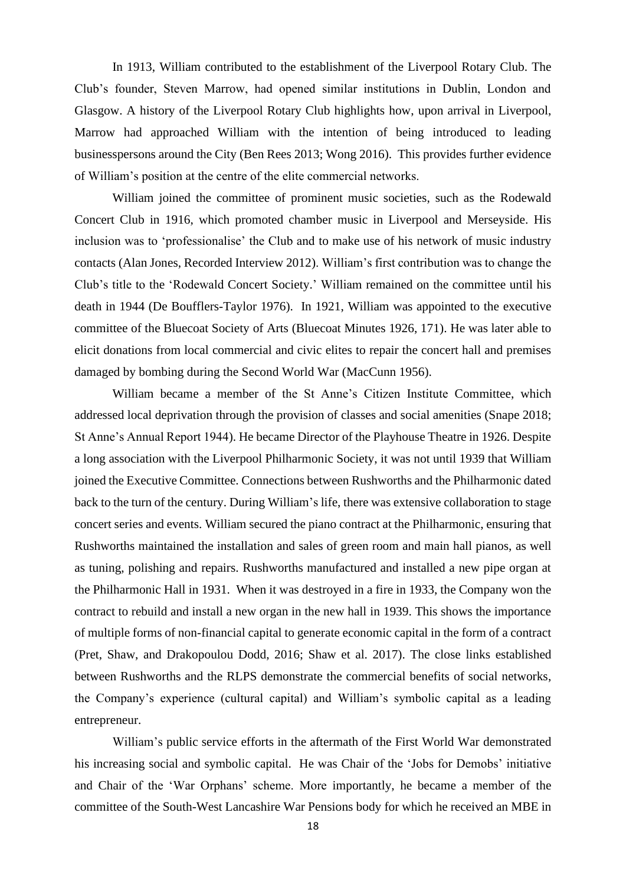In 1913, William contributed to the establishment of the Liverpool Rotary Club. The Club's founder, Steven Marrow, had opened similar institutions in Dublin, London and Glasgow. A history of the Liverpool Rotary Club highlights how, upon arrival in Liverpool, Marrow had approached William with the intention of being introduced to leading businesspersons around the City (Ben Rees 2013; Wong 2016). This provides further evidence of William's position at the centre of the elite commercial networks.

William joined the committee of prominent music societies, such as the Rodewald Concert Club in 1916, which promoted chamber music in Liverpool and Merseyside. His inclusion was to 'professionalise' the Club and to make use of his network of music industry contacts (Alan Jones, Recorded Interview 2012). William's first contribution was to change the Club's title to the 'Rodewald Concert Society.' William remained on the committee until his death in 1944 (De Boufflers-Taylor 1976). In 1921, William was appointed to the executive committee of the Bluecoat Society of Arts (Bluecoat Minutes 1926, 171). He was later able to elicit donations from local commercial and civic elites to repair the concert hall and premises damaged by bombing during the Second World War (MacCunn 1956).

William became a member of the St Anne's Citizen Institute Committee, which addressed local deprivation through the provision of classes and social amenities (Snape 2018; St Anne's Annual Report 1944). He became Director of the Playhouse Theatre in 1926. Despite a long association with the Liverpool Philharmonic Society, it was not until 1939 that William joined the Executive Committee. Connections between Rushworths and the Philharmonic dated back to the turn of the century. During William's life, there was extensive collaboration to stage concert series and events. William secured the piano contract at the Philharmonic, ensuring that Rushworths maintained the installation and sales of green room and main hall pianos, as well as tuning, polishing and repairs. Rushworths manufactured and installed a new pipe organ at the Philharmonic Hall in 1931. When it was destroyed in a fire in 1933, the Company won the contract to rebuild and install a new organ in the new hall in 1939. This shows the importance of multiple forms of non-financial capital to generate economic capital in the form of a contract (Pret, Shaw, and Drakopoulou Dodd, 2016; Shaw et al. 2017). The close links established between Rushworths and the RLPS demonstrate the commercial benefits of social networks, the Company's experience (cultural capital) and William's symbolic capital as a leading entrepreneur.

William's public service efforts in the aftermath of the First World War demonstrated his increasing social and symbolic capital. He was Chair of the 'Jobs for Demobs' initiative and Chair of the 'War Orphans' scheme. More importantly, he became a member of the committee of the South-West Lancashire War Pensions body for which he received an MBE in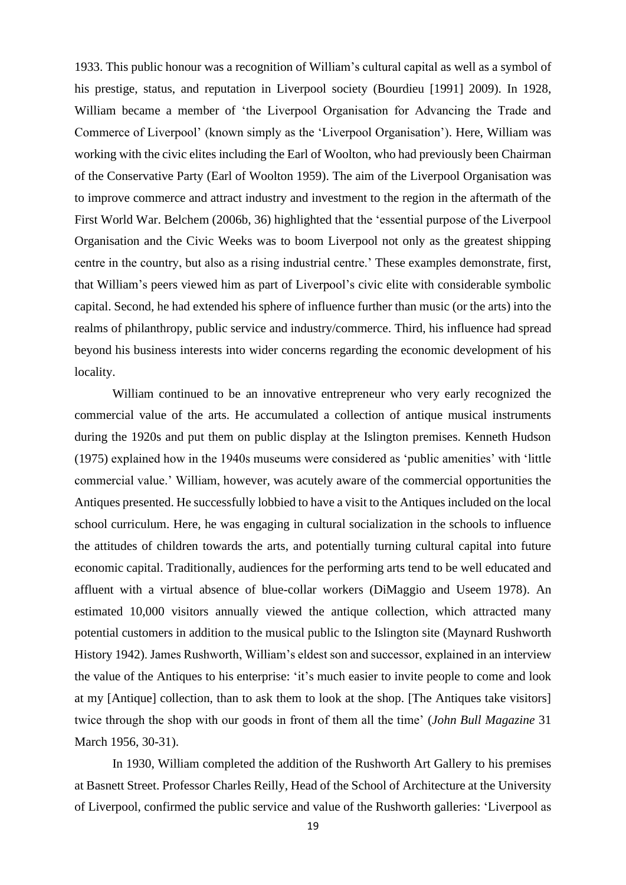1933. This public honour was a recognition of William's cultural capital as well as a symbol of his prestige, status, and reputation in Liverpool society (Bourdieu [1991] 2009). In 1928, William became a member of 'the Liverpool Organisation for Advancing the Trade and Commerce of Liverpool' (known simply as the 'Liverpool Organisation'). Here, William was working with the civic elites including the Earl of Woolton, who had previously been Chairman of the Conservative Party (Earl of Woolton 1959). The aim of the Liverpool Organisation was to improve commerce and attract industry and investment to the region in the aftermath of the First World War. Belchem (2006b, 36) highlighted that the 'essential purpose of the Liverpool Organisation and the Civic Weeks was to boom Liverpool not only as the greatest shipping centre in the country, but also as a rising industrial centre.' These examples demonstrate, first, that William's peers viewed him as part of Liverpool's civic elite with considerable symbolic capital. Second, he had extended his sphere of influence further than music (or the arts) into the realms of philanthropy, public service and industry/commerce. Third, his influence had spread beyond his business interests into wider concerns regarding the economic development of his locality.

William continued to be an innovative entrepreneur who very early recognized the commercial value of the arts. He accumulated a collection of antique musical instruments during the 1920s and put them on public display at the Islington premises. Kenneth Hudson (1975) explained how in the 1940s museums were considered as 'public amenities' with 'little commercial value.' William, however, was acutely aware of the commercial opportunities the Antiques presented. He successfully lobbied to have a visit to the Antiques included on the local school curriculum. Here, he was engaging in cultural socialization in the schools to influence the attitudes of children towards the arts, and potentially turning cultural capital into future economic capital. Traditionally, audiences for the performing arts tend to be well educated and affluent with a virtual absence of blue-collar workers (DiMaggio and Useem 1978). An estimated 10,000 visitors annually viewed the antique collection, which attracted many potential customers in addition to the musical public to the Islington site (Maynard Rushworth History 1942). James Rushworth, William's eldest son and successor, explained in an interview the value of the Antiques to his enterprise: 'it's much easier to invite people to come and look at my [Antique] collection, than to ask them to look at the shop. [The Antiques take visitors] twice through the shop with our goods in front of them all the time' (*John Bull Magazine* 31 March 1956, 30-31).

In 1930, William completed the addition of the Rushworth Art Gallery to his premises at Basnett Street. Professor Charles Reilly, Head of the School of Architecture at the University of Liverpool, confirmed the public service and value of the Rushworth galleries: 'Liverpool as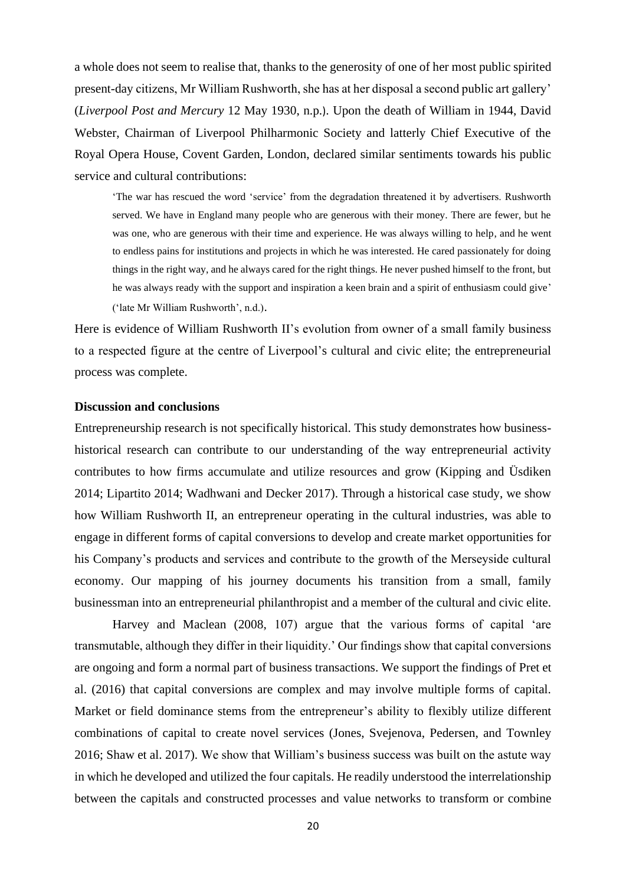a whole does not seem to realise that, thanks to the generosity of one of her most public spirited present-day citizens, Mr William Rushworth, she has at her disposal a second public art gallery' (*Liverpool Post and Mercury* 12 May 1930, n.p.). Upon the death of William in 1944, David Webster, Chairman of Liverpool Philharmonic Society and latterly Chief Executive of the Royal Opera House, Covent Garden, London, declared similar sentiments towards his public service and cultural contributions:

'The war has rescued the word 'service' from the degradation threatened it by advertisers. Rushworth served. We have in England many people who are generous with their money. There are fewer, but he was one, who are generous with their time and experience. He was always willing to help, and he went to endless pains for institutions and projects in which he was interested. He cared passionately for doing things in the right way, and he always cared for the right things. He never pushed himself to the front, but he was always ready with the support and inspiration a keen brain and a spirit of enthusiasm could give' ('late Mr William Rushworth', n.d.).

Here is evidence of William Rushworth II's evolution from owner of a small family business to a respected figure at the centre of Liverpool's cultural and civic elite; the entrepreneurial process was complete.

#### **Discussion and conclusions**

Entrepreneurship research is not specifically historical. This study demonstrates how businesshistorical research can contribute to our understanding of the way entrepreneurial activity contributes to how firms accumulate and utilize resources and grow (Kipping and Üsdiken 2014; Lipartito 2014; Wadhwani and Decker 2017). Through a historical case study, we show how William Rushworth II, an entrepreneur operating in the cultural industries, was able to engage in different forms of capital conversions to develop and create market opportunities for his Company's products and services and contribute to the growth of the Merseyside cultural economy. Our mapping of his journey documents his transition from a small, family businessman into an entrepreneurial philanthropist and a member of the cultural and civic elite.

Harvey and Maclean (2008, 107) argue that the various forms of capital 'are transmutable, although they differ in their liquidity.' Our findings show that capital conversions are ongoing and form a normal part of business transactions. We support the findings of Pret et al. (2016) that capital conversions are complex and may involve multiple forms of capital. Market or field dominance stems from the entrepreneur's ability to flexibly utilize different combinations of capital to create novel services (Jones, Svejenova, Pedersen, and Townley 2016; Shaw et al. 2017). We show that William's business success was built on the astute way in which he developed and utilized the four capitals. He readily understood the interrelationship between the capitals and constructed processes and value networks to transform or combine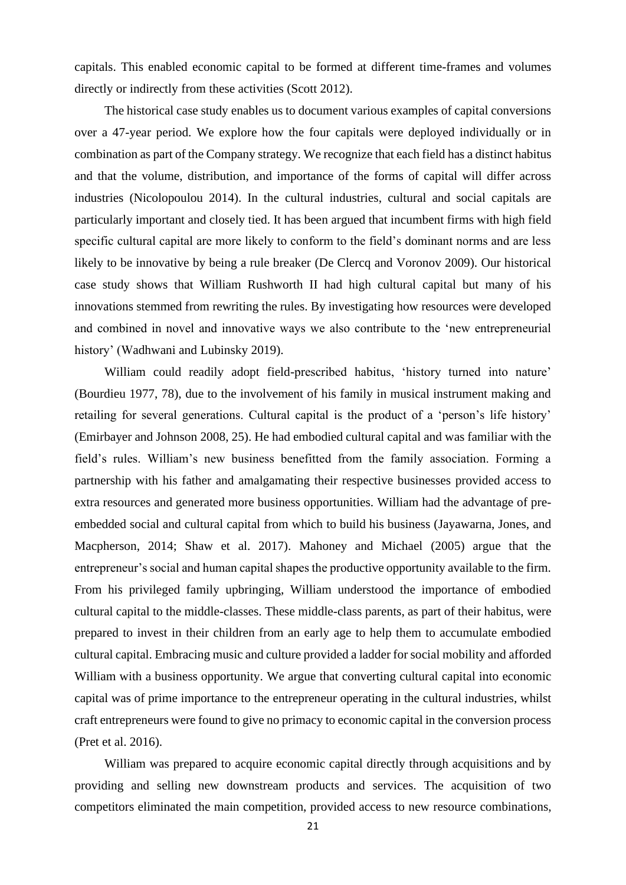capitals. This enabled economic capital to be formed at different time-frames and volumes directly or indirectly from these activities (Scott 2012).

The historical case study enables us to document various examples of capital conversions over a 47-year period. We explore how the four capitals were deployed individually or in combination as part of the Company strategy. We recognize that each field has a distinct habitus and that the volume, distribution, and importance of the forms of capital will differ across industries (Nicolopoulou 2014). In the cultural industries, cultural and social capitals are particularly important and closely tied. It has been argued that incumbent firms with high field specific cultural capital are more likely to conform to the field's dominant norms and are less likely to be innovative by being a rule breaker (De Clercq and Voronov 2009). Our historical case study shows that William Rushworth II had high cultural capital but many of his innovations stemmed from rewriting the rules. By investigating how resources were developed and combined in novel and innovative ways we also contribute to the 'new entrepreneurial history' (Wadhwani and Lubinsky 2019).

William could readily adopt field-prescribed habitus, 'history turned into nature' (Bourdieu 1977, 78), due to the involvement of his family in musical instrument making and retailing for several generations. Cultural capital is the product of a 'person's life history' (Emirbayer and Johnson 2008, 25). He had embodied cultural capital and was familiar with the field's rules. William's new business benefitted from the family association. Forming a partnership with his father and amalgamating their respective businesses provided access to extra resources and generated more business opportunities. William had the advantage of preembedded social and cultural capital from which to build his business (Jayawarna, Jones, and Macpherson, 2014; Shaw et al. 2017). Mahoney and Michael (2005) argue that the entrepreneur's social and human capital shapes the productive opportunity available to the firm. From his privileged family upbringing, William understood the importance of embodied cultural capital to the middle-classes. These middle-class parents, as part of their habitus, were prepared to invest in their children from an early age to help them to accumulate embodied cultural capital. Embracing music and culture provided a ladder for social mobility and afforded William with a business opportunity. We argue that converting cultural capital into economic capital was of prime importance to the entrepreneur operating in the cultural industries, whilst craft entrepreneurs were found to give no primacy to economic capital in the conversion process (Pret et al. 2016).

William was prepared to acquire economic capital directly through acquisitions and by providing and selling new downstream products and services. The acquisition of two competitors eliminated the main competition, provided access to new resource combinations,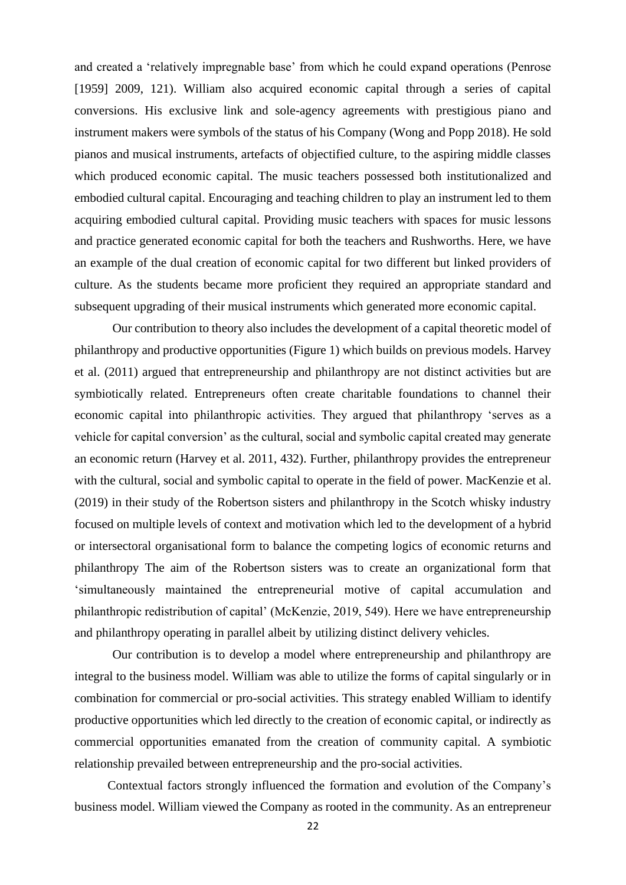and created a 'relatively impregnable base' from which he could expand operations (Penrose [1959] 2009, 121). William also acquired economic capital through a series of capital conversions. His exclusive link and sole-agency agreements with prestigious piano and instrument makers were symbols of the status of his Company (Wong and Popp 2018). He sold pianos and musical instruments, artefacts of objectified culture, to the aspiring middle classes which produced economic capital. The music teachers possessed both institutionalized and embodied cultural capital. Encouraging and teaching children to play an instrument led to them acquiring embodied cultural capital. Providing music teachers with spaces for music lessons and practice generated economic capital for both the teachers and Rushworths. Here, we have an example of the dual creation of economic capital for two different but linked providers of culture. As the students became more proficient they required an appropriate standard and subsequent upgrading of their musical instruments which generated more economic capital.

Our contribution to theory also includes the development of a capital theoretic model of philanthropy and productive opportunities (Figure 1) which builds on previous models. Harvey et al. (2011) argued that entrepreneurship and philanthropy are not distinct activities but are symbiotically related. Entrepreneurs often create charitable foundations to channel their economic capital into philanthropic activities. They argued that philanthropy 'serves as a vehicle for capital conversion' as the cultural, social and symbolic capital created may generate an economic return (Harvey et al. 2011, 432). Further, philanthropy provides the entrepreneur with the cultural, social and symbolic capital to operate in the field of power. MacKenzie et al. (2019) in their study of the Robertson sisters and philanthropy in the Scotch whisky industry focused on multiple levels of context and motivation which led to the development of a hybrid or intersectoral organisational form to balance the competing logics of economic returns and philanthropy The aim of the Robertson sisters was to create an organizational form that 'simultaneously maintained the entrepreneurial motive of capital accumulation and philanthropic redistribution of capital' (McKenzie, 2019, 549). Here we have entrepreneurship and philanthropy operating in parallel albeit by utilizing distinct delivery vehicles.

Our contribution is to develop a model where entrepreneurship and philanthropy are integral to the business model. William was able to utilize the forms of capital singularly or in combination for commercial or pro-social activities. This strategy enabled William to identify productive opportunities which led directly to the creation of economic capital, or indirectly as commercial opportunities emanated from the creation of community capital. A symbiotic relationship prevailed between entrepreneurship and the pro-social activities.

Contextual factors strongly influenced the formation and evolution of the Company's business model. William viewed the Company as rooted in the community. As an entrepreneur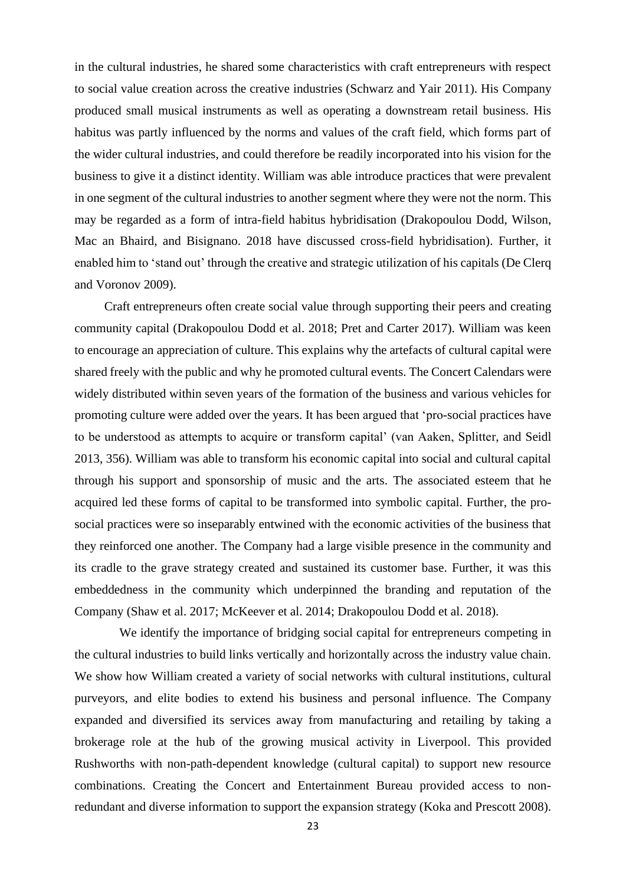in the cultural industries, he shared some characteristics with craft entrepreneurs with respect to social value creation across the creative industries (Schwarz and Yair 2011). His Company produced small musical instruments as well as operating a downstream retail business. His habitus was partly influenced by the norms and values of the craft field, which forms part of the wider cultural industries, and could therefore be readily incorporated into his vision for the business to give it a distinct identity. William was able introduce practices that were prevalent in one segment of the cultural industries to another segment where they were not the norm. This may be regarded as a form of intra-field habitus hybridisation (Drakopoulou Dodd, Wilson, Mac an Bhaird, and Bisignano. 2018 have discussed cross-field hybridisation). Further, it enabled him to 'stand out' through the creative and strategic utilization of his capitals (De Clerq and Voronov 2009).

Craft entrepreneurs often create social value through supporting their peers and creating community capital (Drakopoulou Dodd et al. 2018; Pret and Carter 2017). William was keen to encourage an appreciation of culture. This explains why the artefacts of cultural capital were shared freely with the public and why he promoted cultural events. The Concert Calendars were widely distributed within seven years of the formation of the business and various vehicles for promoting culture were added over the years. It has been argued that 'pro-social practices have to be understood as attempts to acquire or transform capital' (van Aaken, Splitter, and Seidl 2013, 356). William was able to transform his economic capital into social and cultural capital through his support and sponsorship of music and the arts. The associated esteem that he acquired led these forms of capital to be transformed into symbolic capital. Further, the prosocial practices were so inseparably entwined with the economic activities of the business that they reinforced one another. The Company had a large visible presence in the community and its cradle to the grave strategy created and sustained its customer base. Further, it was this embeddedness in the community which underpinned the branding and reputation of the Company (Shaw et al. 2017; McKeever et al. 2014; Drakopoulou Dodd et al. 2018).

We identify the importance of bridging social capital for entrepreneurs competing in the cultural industries to build links vertically and horizontally across the industry value chain. We show how William created a variety of social networks with cultural institutions, cultural purveyors, and elite bodies to extend his business and personal influence. The Company expanded and diversified its services away from manufacturing and retailing by taking a brokerage role at the hub of the growing musical activity in Liverpool. This provided Rushworths with non-path-dependent knowledge (cultural capital) to support new resource combinations. Creating the Concert and Entertainment Bureau provided access to nonredundant and diverse information to support the expansion strategy (Koka and Prescott 2008).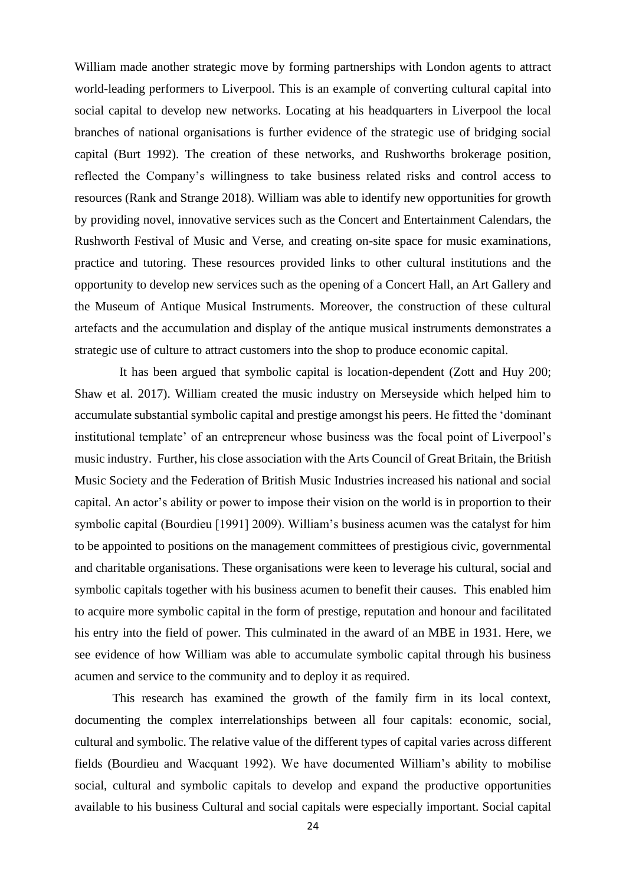William made another strategic move by forming partnerships with London agents to attract world-leading performers to Liverpool. This is an example of converting cultural capital into social capital to develop new networks. Locating at his headquarters in Liverpool the local branches of national organisations is further evidence of the strategic use of bridging social capital (Burt 1992). The creation of these networks, and Rushworths brokerage position, reflected the Company's willingness to take business related risks and control access to resources (Rank and Strange 2018). William was able to identify new opportunities for growth by providing novel, innovative services such as the Concert and Entertainment Calendars, the Rushworth Festival of Music and Verse, and creating on-site space for music examinations, practice and tutoring. These resources provided links to other cultural institutions and the opportunity to develop new services such as the opening of a Concert Hall, an Art Gallery and the Museum of Antique Musical Instruments. Moreover, the construction of these cultural artefacts and the accumulation and display of the antique musical instruments demonstrates a strategic use of culture to attract customers into the shop to produce economic capital.

It has been argued that symbolic capital is location-dependent (Zott and Huy 200; Shaw et al. 2017). William created the music industry on Merseyside which helped him to accumulate substantial symbolic capital and prestige amongst his peers. He fitted the 'dominant institutional template' of an entrepreneur whose business was the focal point of Liverpool's music industry. Further, his close association with the Arts Council of Great Britain, the British Music Society and the Federation of British Music Industries increased his national and social capital. An actor's ability or power to impose their vision on the world is in proportion to their symbolic capital (Bourdieu [1991] 2009). William's business acumen was the catalyst for him to be appointed to positions on the management committees of prestigious civic, governmental and charitable organisations. These organisations were keen to leverage his cultural, social and symbolic capitals together with his business acumen to benefit their causes. This enabled him to acquire more symbolic capital in the form of prestige, reputation and honour and facilitated his entry into the field of power. This culminated in the award of an MBE in 1931. Here, we see evidence of how William was able to accumulate symbolic capital through his business acumen and service to the community and to deploy it as required.

This research has examined the growth of the family firm in its local context, documenting the complex interrelationships between all four capitals: economic, social, cultural and symbolic. The relative value of the different types of capital varies across different fields (Bourdieu and Wacquant 1992). We have documented William's ability to mobilise social, cultural and symbolic capitals to develop and expand the productive opportunities available to his business Cultural and social capitals were especially important. Social capital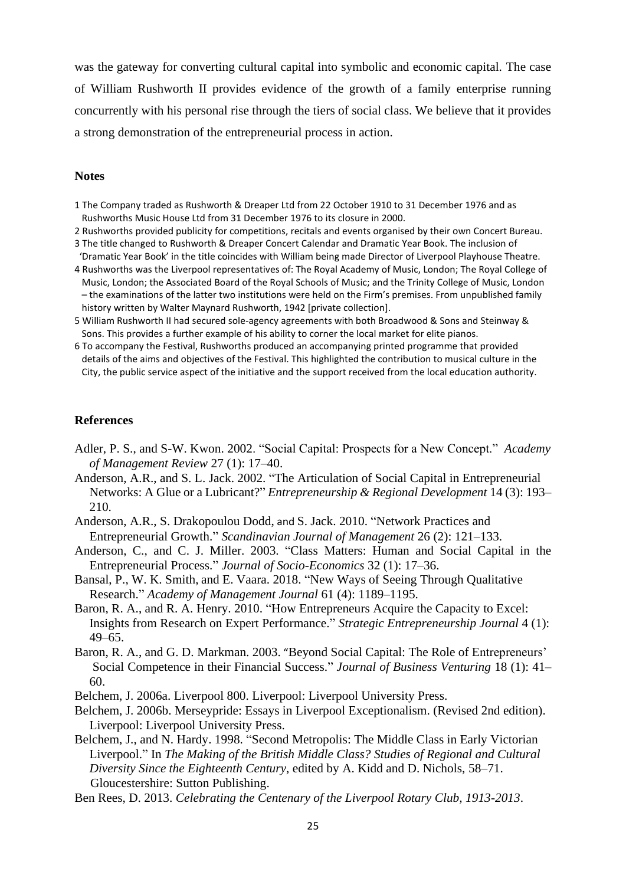was the gateway for converting cultural capital into symbolic and economic capital. The case of William Rushworth II provides evidence of the growth of a family enterprise running concurrently with his personal rise through the tiers of social class. We believe that it provides a strong demonstration of the entrepreneurial process in action.

#### **Notes**

- 1 The Company traded as Rushworth & Dreaper Ltd from 22 October 1910 to 31 December 1976 and as Rushworths Music House Ltd from 31 December 1976 to its closure in 2000.
- 2 Rushworths provided publicity for competitions, recitals and events organised by their own Concert Bureau.
- 3 The title changed to Rushworth & Dreaper Concert Calendar and Dramatic Year Book. The inclusion of 'Dramatic Year Book' in the title coincides with William being made Director of Liverpool Playhouse Theatre.
- 4 Rushworths was the Liverpool representatives of: The Royal Academy of Music, London; The Royal College of Music, London; the Associated Board of the Royal Schools of Music; and the Trinity College of Music, London – the examinations of the latter two institutions were held on the Firm's premises. From unpublished family history written by Walter Maynard Rushworth, 1942 [private collection].
- 5 William Rushworth II had secured sole-agency agreements with both Broadwood & Sons and Steinway & Sons. This provides a further example of his ability to corner the local market for elite pianos.
- 6 To accompany the Festival, Rushworths produced an accompanying printed programme that provided details of the aims and objectives of the Festival. This highlighted the contribution to musical culture in the City, the public service aspect of the initiative and the support received from the local education authority.

#### **References**

- Adler, P. S., and S-W. Kwon. 2002. "Social Capital: Prospects for a New Concept." *Academy of Management Review* 27 (1): 17–40.
- Anderson, A.R., and S. L. Jack. 2002. "The Articulation of Social Capital in Entrepreneurial Networks: A Glue or a Lubricant?" *Entrepreneurship & Regional Development* 14 (3): 193– 210.
- Anderson, A.R., S. Drakopoulou Dodd, and S. Jack. 2010. "Network Practices and Entrepreneurial Growth." *Scandinavian Journal of Management* 26 (2): 121–133.
- Anderson, C., and C. J. Miller. 2003. "Class Matters: Human and Social Capital in the Entrepreneurial Process." *Journal of Socio-Economics* 32 (1): 17–36.
- Bansal, P., W. K. Smith, and E. Vaara. 2018. "New Ways of Seeing Through Qualitative Research." *Academy of Management Journal* 61 (4): 1189–1195.
- Baron, R. A., and R. A. Henry. 2010. "How Entrepreneurs Acquire the Capacity to Excel: Insights from Research on Expert Performance." *Strategic Entrepreneurship Journal* 4 (1): 49–65.
- Baron, R. A., and G. D. Markman. 2003. "Beyond Social Capital: The Role of Entrepreneurs' Social Competence in their Financial Success." *Journal of Business Venturing* 18 (1): 41– 60.
- Belchem, J. 2006a. Liverpool 800. Liverpool: Liverpool University Press.
- Belchem, J. 2006b. Merseypride: Essays in Liverpool Exceptionalism. (Revised 2nd edition). Liverpool: Liverpool University Press.
- Belchem, J., and N. Hardy. 1998. "Second Metropolis: The Middle Class in Early Victorian Liverpool." In *The Making of the British Middle Class? Studies of Regional and Cultural Diversity Since the Eighteenth Century*, edited by A. Kidd and D. Nichols, 58–71. Gloucestershire: Sutton Publishing.
- Ben Rees, D. 2013. *Celebrating the Centenary of the Liverpool Rotary Club, 1913-2013*.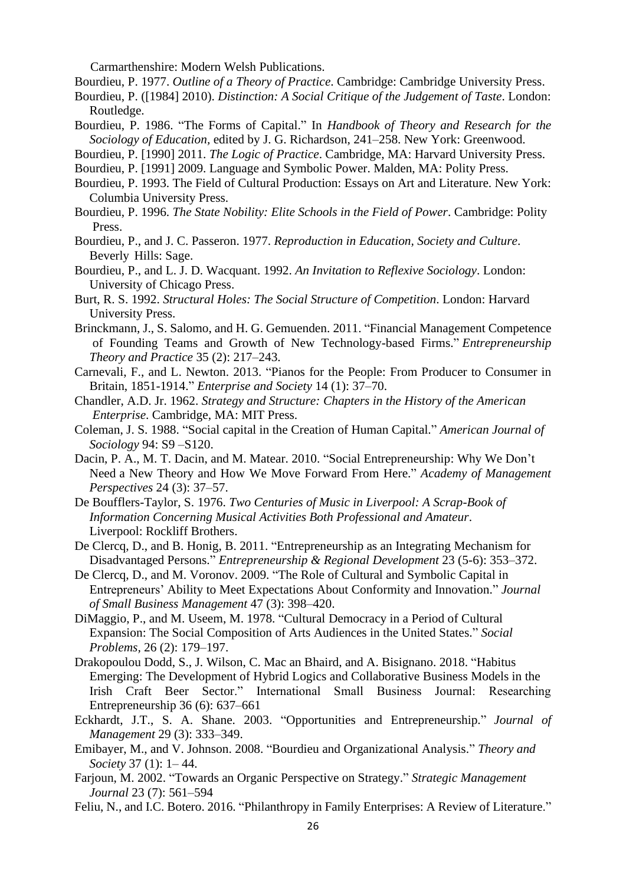Carmarthenshire: Modern Welsh Publications.

Bourdieu, P. 1977. *Outline of a Theory of Practice*. Cambridge: Cambridge University Press.

- Bourdieu, P. ([1984] 2010). *Distinction: A Social Critique of the Judgement of Taste*. London: Routledge.
- Bourdieu, P. 1986. "The Forms of Capital." In *Handbook of Theory and Research for the Sociology of Education,* edited by J. G. Richardson, 241–258. New York: Greenwood.
- Bourdieu, P. [1990] 2011. *The Logic of Practice*. Cambridge, MA: Harvard University Press.
- Bourdieu, P. [1991] 2009. Language and Symbolic Power. Malden, MA: Polity Press.
- Bourdieu, P. 1993. The Field of Cultural Production: Essays on Art and Literature. New York: Columbia University Press.
- Bourdieu, P. 1996. *The State Nobility: Elite Schools in the Field of Power*. Cambridge: Polity Press.
- Bourdieu, P., and J. C. Passeron. 1977. *Reproduction in Education, Society and Culture*. Beverly Hills: Sage.
- Bourdieu, P., and L. J. D. Wacquant. 1992. *An Invitation to Reflexive Sociology*. London: University of Chicago Press.
- Burt, R. S. 1992. *Structural Holes: The Social Structure of Competition*. London: Harvard University Press.
- Brinckmann, J., S. Salomo, and H. G. Gemuenden. 2011. "Financial Management Competence of Founding Teams and Growth of New Technology-based Firms." *Entrepreneurship Theory and Practice* 35 (2): 217–243.
- Carnevali, F., and L. Newton. 2013. "Pianos for the People: From Producer to Consumer in Britain, 1851-1914." *Enterprise and Society* 14 (1): 37–70.
- Chandler, A.D. Jr. 1962. *Strategy and Structure: Chapters in the History of the American Enterprise*. Cambridge, MA: MIT Press.
- Coleman, J. S. 1988. "Social capital in the Creation of Human Capital." *American Journal of Sociology* 94: S9 –S120.
- Dacin, P. A., M. T. Dacin, and M. Matear. 2010. "Social Entrepreneurship: Why We Don't Need a New Theory and How We Move Forward From Here." *Academy of Management Perspectives* 24 (3): 37–57.
- De Boufflers-Taylor, S. 1976. *Two Centuries of Music in Liverpool: A Scrap-Book of Information Concerning Musical Activities Both Professional and Amateur*. Liverpool: Rockliff Brothers.
- De Clercq, D., and B. Honig, B. 2011. "Entrepreneurship as an Integrating Mechanism for Disadvantaged Persons." *[Entrepreneurship & Regional Development](https://www.tandfonline.com/toc/tepn20/current)* 23 (5-6): 353–372.
- De Clercq, D., and M. Voronov. 2009. "The Role of Cultural and Symbolic Capital in Entrepreneurs' Ability to Meet Expectations About Conformity and Innovation." *Journal of Small Business Management* 47 (3): 398–420.
- DiMaggio, P., and M. Useem, M. 1978. "Cultural Democracy in a Period of Cultural Expansion: The Social Composition of Arts Audiences in the United States." *Social Problems,* 26 (2): 179–197.
- Drakopoulou Dodd, S., J. Wilson, C. Mac an Bhaird, and A. Bisignano. 2018. "Habitus Emerging: The Development of Hybrid Logics and Collaborative Business Models in the Irish Craft Beer Sector." International Small Business Journal: Researching Entrepreneurship 36 (6): 637–661
- Eckhardt, J.T., S. A. Shane. 2003. "Opportunities and Entrepreneurship." *Journal of Management* 29 (3): 333–349.
- Emibayer, M., and V. Johnson. 2008. "Bourdieu and Organizational Analysis." *Theory and Society* 37 (1): 1– 44.
- Farjoun, M. 2002. "Towards an Organic Perspective on Strategy." *Strategic Management Journal* 23 (7): 561–594
- Feliu, N., and I.C. Botero. 2016. "Philanthropy in Family Enterprises: A Review of Literature."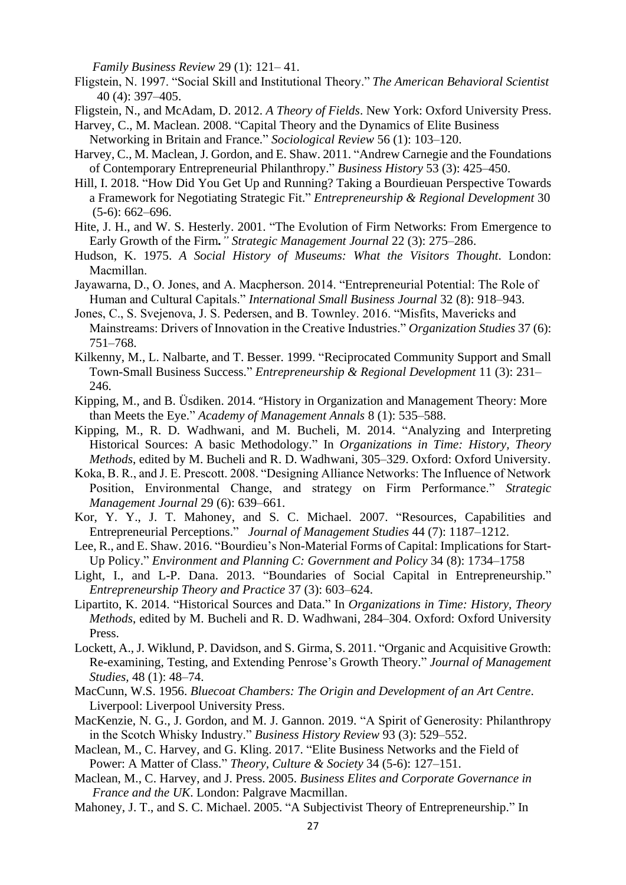*Family Business Review* 29 (1): 121– 41.

Fligstein, N. 1997. "Social Skill and Institutional Theory." *The American Behavioral Scientist* 40 (4): 397–405.

Fligstein, N., and McAdam, D. 2012. *A Theory of Fields*. New York: Oxford University Press.

- Harvey, C., M. Maclean. 2008. "Capital Theory and the Dynamics of Elite Business Networking in Britain and France." *Sociological Review* 56 (1): 103–120.
- Harvey, C., M. Maclean, J. Gordon, and E. Shaw. 2011. "Andrew Carnegie and the Foundations of Contemporary Entrepreneurial Philanthropy." *Business History* 53 (3): 425–450.
- Hill, I. 2018. "How Did You Get Up and Running? Taking a Bourdieuan Perspective Towards a Framework for Negotiating Strategic Fit." *Entrepreneurship & Regional Development* 30 (5-6): 662–696.
- Hite, J. H., and W. S. Hesterly. 2001. "The Evolution of Firm Networks: From Emergence to Early Growth of the Firm*." Strategic Management Journal* 22 (3): 275–286.
- Hudson, K. 1975. *A Social History of Museums: What the Visitors Thought*. London: Macmillan.
- Jayawarna, D., O. Jones, and A. Macpherson. 2014. "Entrepreneurial Potential: The Role of Human and Cultural Capitals." *International Small Business Journal* 32 (8): 918–943.
- Jones, C., S. Svejenova, J. S. Pedersen, and B. Townley. 2016. "Misfits, Mavericks and Mainstreams: Drivers of Innovation in the Creative Industries." *Organization Studies* 37 (6): 751–768.
- Kilkenny, M., L. Nalbarte, and T. Besser. 1999. "Reciprocated Community Support and Small Town-Small Business Success." *Entrepreneurship & Regional Development* 11 (3): 231– 246.
- Kipping, M., and B. Üsdiken. 2014. "History in Organization and Management Theory: More than Meets the Eye." *Academy of Management Annals* 8 (1): 535–588.
- Kipping, M., R. D. Wadhwani, and M. Bucheli, M. 2014. "Analyzing and Interpreting Historical Sources: A basic Methodology." In *Organizations in Time: History, Theory Methods*, edited by M. Bucheli and R. D. Wadhwani*,* 305–329. Oxford: Oxford University.
- Koka, B. R., and J. E. Prescott. 2008. "Designing Alliance Networks: The Influence of Network Position, Environmental Change, and strategy on Firm Performance." *Strategic Management Journal* 29 (6): 639–661.
- Kor, Y. Y., J. T. Mahoney, and S. C. Michael. 2007. "Resources, Capabilities and Entrepreneurial Perceptions." *Journal of Management Studies* 44 (7): 1187–1212.
- Lee, R., and E. Shaw. 2016. "Bourdieu's Non-Material Forms of Capital: Implications for Start-Up Policy." *Environment and Planning C: Government and Policy* 34 (8): 1734–1758
- Light, I., and L-P. Dana. 2013. "Boundaries of Social Capital in Entrepreneurship." *Entrepreneurship Theory and Practice* 37 (3): 603–624.
- Lipartito, K. 2014. "Historical Sources and Data." In *Organizations in Time: History, Theory Methods*, edited by M. Bucheli and R. D. Wadhwani, 284–304. Oxford: Oxford University Press.
- Lockett, A., J. Wiklund, P. Davidson, and S. Girma, S. 2011. "Organic and Acquisitive Growth: Re-examining, Testing, and Extending Penrose's Growth Theory." *Journal of Management Studies,* 48 (1): 48–74.
- MacCunn, W.S. 1956. *Bluecoat Chambers: The Origin and Development of an Art Centre*. Liverpool: Liverpool University Press.
- MacKenzie, N. G., J. Gordon, and M. J. Gannon. 2019. "A Spirit of Generosity: Philanthropy in the Scotch Whisky Industry." *Business History Review* 93 (3): 529–552.
- Maclean, M., C. Harvey, and G. Kling. 2017. "Elite Business Networks and the Field of Power: A Matter of Class." *Theory, Culture & Society* 34 (5-6): 127–151.
- Maclean, M., C. Harvey, and J. Press. 2005. *Business Elites and Corporate Governance in France and the UK*. London: Palgrave Macmillan.
- Mahoney, J. T., and S. C. Michael. 2005. "A Subjectivist Theory of Entrepreneurship." In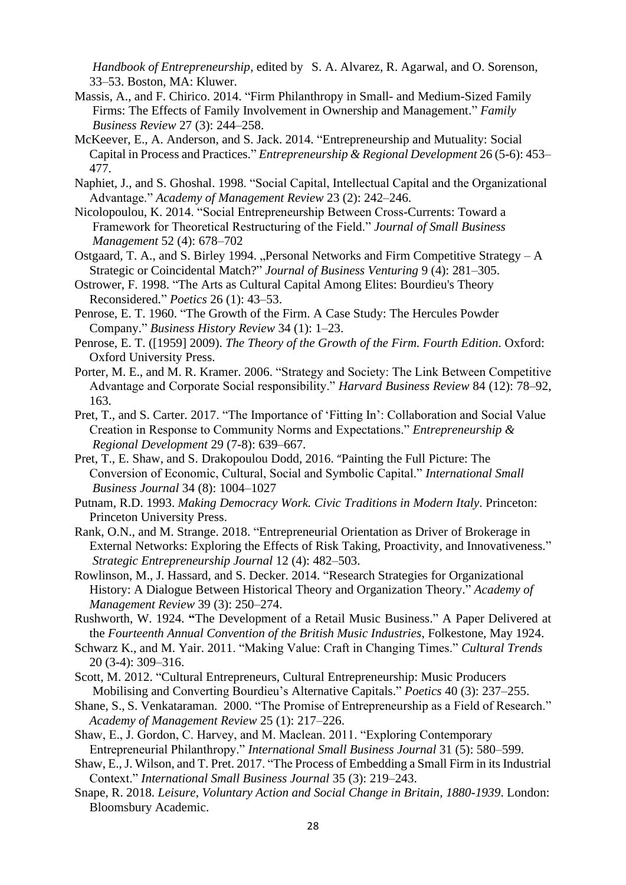*Handbook of Entrepreneurship*, edited by S. A. Alvarez, R. Agarwal, and O. Sorenson, 33–53. Boston, MA: Kluwer.

- Massis, A., and F. Chirico. 2014. "Firm Philanthropy in Small- and Medium-Sized Family Firms: The Effects of Family Involvement in Ownership and Management." *Family Business Review* 27 (3): 244–258.
- McKeever, E., A. Anderson, and S. Jack. 2014. "Entrepreneurship and Mutuality: Social Capital in Process and Practices." *Entrepreneurship & Regional Development* 26 (5-6): 453– 477.
- Naphiet, J., and S. Ghoshal. 1998. "Social Capital, Intellectual Capital and the Organizational Advantage." *Academy of Management Review* 23 (2): 242–246.
- Nicolopoulou, K. 2014. "Social Entrepreneurship Between Cross-Currents: Toward a Framework for Theoretical Restructuring of the Field." *Journal of Small Business Management* 52 (4): 678–702
- Ostgaard, T. A., and S. Birley 1994. "Personal Networks and Firm Competitive Strategy A Strategic or Coincidental Match?" *Journal of Business Venturing* 9 (4): 281–305.
- Ostrower, F. 1998. "The Arts as Cultural Capital Among Elites: Bourdieu's Theory Reconsidered." *Poetics* 26 (1): 43–53.
- Penrose, E. T. 1960. "The Growth of the Firm. A Case Study: The Hercules Powder Company." *Business History Review* 34 (1): 1–23.
- Penrose, E. T. ([1959] 2009). *The Theory of the Growth of the Firm. Fourth Edition*. Oxford: Oxford University Press.
- Porter, M. E., and M. R. Kramer. 2006. "Strategy and Society: The Link Between Competitive Advantage and Corporate Social responsibility." *Harvard Business Review* 84 (12): 78–92, 163.
- Pret, T., and S. Carter. 2017. "The Importance of 'Fitting In': Collaboration and Social Value Creation in Response to Community Norms and Expectations." *Entrepreneurship & Regional Development* 29 (7-8): 639–667.
- Pret, T., E. Shaw, and S. Drakopoulou Dodd, 2016. "Painting the Full Picture: The Conversion of Economic, Cultural, Social and Symbolic Capital." *International Small Business Journal* 34 (8): 1004–1027
- Putnam, R.D. 1993. *Making Democracy Work. Civic Traditions in Modern Italy*. Princeton: Princeton University Press.
- Rank, O.N., and M. Strange. 2018. "Entrepreneurial Orientation as Driver of Brokerage in External Networks: Exploring the Effects of Risk Taking, Proactivity, and Innovativeness." *Strategic Entrepreneurship Journal* 12 (4): 482–503.
- Rowlinson, M., J. Hassard, and S. Decker. 2014. "Research Strategies for Organizational History: A Dialogue Between Historical Theory and Organization Theory." *Academy of Management Review* 39 (3): 250–274.
- Rushworth, W. 1924. **"**The Development of a Retail Music Business." A Paper Delivered at the *Fourteenth Annual Convention of the British Music Industries*, Folkestone, May 1924.
- Schwarz K., and M. Yair. 2011. "Making Value: Craft in Changing Times." *Cultural Trends* 20 (3-4): 309–316.
- Scott, M. 2012. "Cultural Entrepreneurs, Cultural Entrepreneurship: Music Producers Mobilising and Converting Bourdieu's Alternative Capitals." *Poetics* 40 (3): 237–255.
- Shane, S., S. Venkataraman. 2000. "The Promise of Entrepreneurship as a Field of Research." *Academy of Management Review* 25 (1): 217–226.
- Shaw, E., J. Gordon, C. Harvey, and M. Maclean. 2011. "Exploring Contemporary Entrepreneurial Philanthropy." *International Small Business Journal* 31 (5): 580–599.
- Shaw, E., J. Wilson, and T. Pret. 2017. "The Process of Embedding a Small Firm in its Industrial Context." *International Small Business Journal* 35 (3): 219–243.
- Snape, R. 2018. *Leisure, Voluntary Action and Social Change in Britain, 1880-1939*. London: Bloomsbury Academic.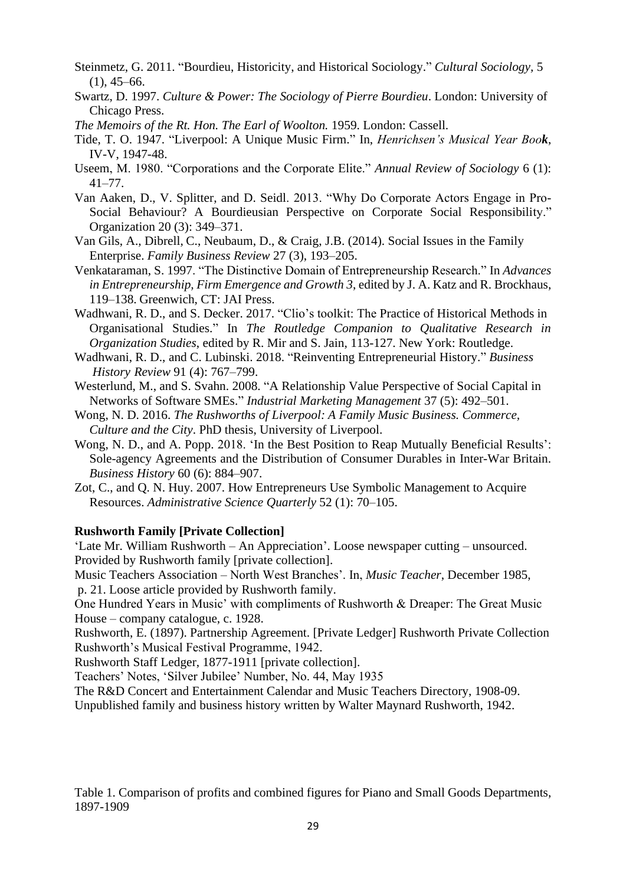- Steinmetz, G. 2011. "Bourdieu, Historicity, and Historical Sociology." *Cultural Sociology,* 5  $(1), 45-66.$
- Swartz, D. 1997. *Culture & Power: The Sociology of Pierre Bourdieu*. London: University of Chicago Press.
- *The Memoirs of the Rt. Hon. The Earl of Woolton.* 1959. London: Cassell.
- Tide, T. O. 1947. "Liverpool: A Unique Music Firm." In, *Henrichsen's Musical Year Book*, IV-V, 1947-48.
- Useem, M. 1980. "Corporations and the Corporate Elite." *Annual Review of Sociology* 6 (1): 41–77.
- Van Aaken, D., V. Splitter, and D. Seidl. 2013. "Why Do Corporate Actors Engage in Pro-Social Behaviour? A Bourdieusian Perspective on Corporate Social Responsibility." Organization 20 (3): 349–371.
- Van Gils, A., Dibrell, C., Neubaum, D., & Craig, J.B. (2014). Social Issues in the Family Enterprise. *Family Business Review* 27 (3), 193–205.
- Venkataraman, S. 1997. "The Distinctive Domain of Entrepreneurship Research." In *Advances in Entrepreneurship, Firm Emergence and Growth 3*, edited by J. A. Katz and R. Brockhaus, 119–138. Greenwich, CT: JAI Press.
- Wadhwani, R. D., and S. Decker. 2017. "Clio's toolkit: The Practice of Historical Methods in Organisational Studies." In *The Routledge Companion to Qualitative Research in Organization Studies*, edited by R. Mir and S. Jain, 113-127. New York: Routledge.
- Wadhwani, R. D., and C. Lubinski. 2018. "Reinventing Entrepreneurial History." *Business History Review* 91 (4): 767–799.
- Westerlund, M., and S. Svahn. 2008. "A Relationship Value Perspective of Social Capital in Networks of Software SMEs." *Industrial Marketing Management* 37 (5): 492–501.
- Wong, N. D. 2016. *The Rushworths of Liverpool: A Family Music Business. Commerce, Culture and the City*. PhD thesis, University of Liverpool.
- Wong, N. D., and A. Popp. 2018. 'In the Best Position to Reap Mutually Beneficial Results': Sole-agency Agreements and the Distribution of Consumer Durables in Inter-War Britain. *Business History* 60 (6): 884–907.
- Zot, C., and Q. N. Huy. 2007. How Entrepreneurs Use Symbolic Management to Acquire Resources. *Administrative Science Quarterly* 52 (1): 70–105.

## **Rushworth Family [Private Collection]**

'Late Mr. William Rushworth – An Appreciation'. Loose newspaper cutting – unsourced. Provided by Rushworth family [private collection].

Music Teachers Association – North West Branches'. In, *Music Teacher*, December 1985, p. 21. Loose article provided by Rushworth family.

One Hundred Years in Music' with compliments of Rushworth & Dreaper: The Great Music House – company catalogue, c. 1928.

Rushworth, E. (1897). Partnership Agreement. [Private Ledger] Rushworth Private Collection Rushworth's Musical Festival Programme, 1942.

Rushworth Staff Ledger, 1877-1911 [private collection].

Teachers' Notes, 'Silver Jubilee' Number, No. 44, May 1935

The R&D Concert and Entertainment Calendar and Music Teachers Directory, 1908-09.

Unpublished family and business history written by Walter Maynard Rushworth, 1942.

Table 1. Comparison of profits and combined figures for Piano and Small Goods Departments, 1897-1909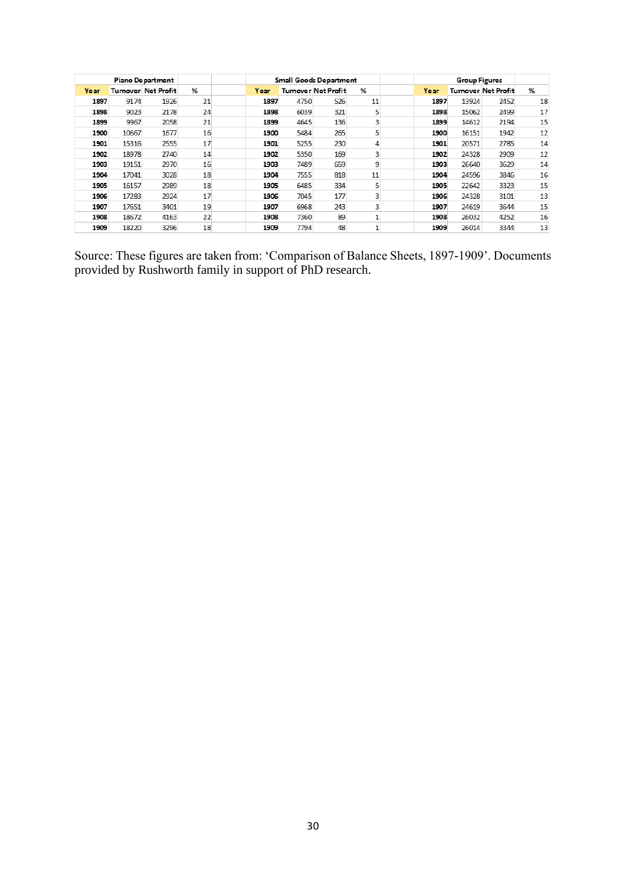| Piano Department |       |                     |    |      | Small Goods Department |                            |    |      | <b>Group Figures</b> |                            |    |
|------------------|-------|---------------------|----|------|------------------------|----------------------------|----|------|----------------------|----------------------------|----|
| Year             |       | Turnover Net Profit | %  | Year |                        | <b>Turnover Net Profit</b> | %  | Year |                      | <b>Turnover Net Profit</b> | %  |
| 1897             | 9174  | 1926                | 21 | 1897 | 4750                   | 526                        | 11 | 1897 | 13924                | 2452                       | 18 |
| 1898             | 9023  | 2178                | 24 | 1898 | 6039                   | 321                        | 5  | 1898 | 15062                | 2499                       | 17 |
| 1899             | 9967  | 2058                | 21 | 1899 | 4645                   | 136                        | 3  | 1899 | 14612                | 2194                       | 15 |
| 1900             | 10667 | 1677                | 16 | 1900 | 5484                   | 265                        |    | 1900 | 16151                | 1942                       | 12 |
| 1901             | 15316 | 2555                | 17 | 1901 | 5255                   | 230                        | 4  | 1901 | 20571                | 2785                       | 14 |
| 1902             | 18978 | 2740                | 14 | 1902 | 5350                   | 169                        | 3  | 1902 | 24328                | 2909                       | 12 |
| 1903             | 19151 | 2970                | 16 | 1903 | 7489                   | 659                        | 9  | 1903 | 26640                | 3629                       | 14 |
| 1904             | 17041 | 3028                | 18 | 1904 | 7555                   | 818                        | 11 | 1904 | 24596                | 3846                       | 16 |
| 1905             | 16157 | 2989                | 18 | 1905 | 6485                   | 334                        | 5  | 1905 | 22642                | 3323                       | 15 |
| 1906             | 17283 | 2924                | 17 | 1906 | 7045                   | 177                        | 3  | 1906 | 24328                | 3101                       | 13 |
| 1907             | 17651 | 3401                | 19 | 1907 | 6968                   | 243                        | 3  | 1907 | 24619                | 3644                       | 15 |
| 1908             | 18672 | 4163                | 22 | 1908 | 7360                   | 89                         |    | 1908 | 26032                | 4252                       | 16 |
| 1909             | 18220 | 3296                | 18 | 1909 | 7794                   | 48                         |    | 1909 | 26014                | 3344                       | 13 |

Source: These figures are taken from: 'Comparison of Balance Sheets, 1897-1909'. Documents provided by Rushworth family in support of PhD research.